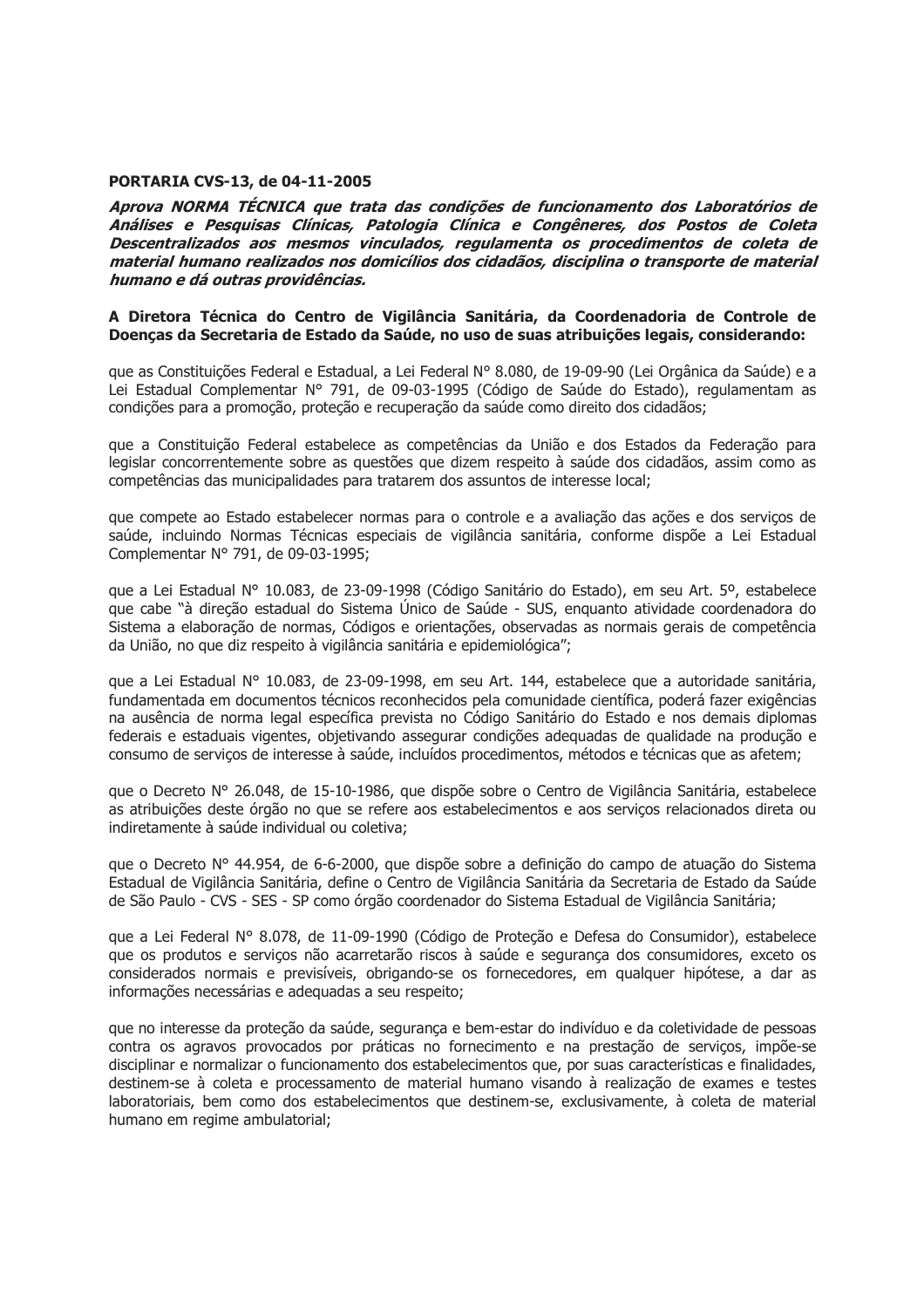#### **PORTARIA CVS-13, de 04-11-2005**

Aprova NORMA TÉCNICA que trata das condições de funcionamento dos Laboratórios de Análises e Pesquisas Clínicas, Patologia Clínica e Congêneres, dos Postos de Coleta Descentralizados aos mesmos vinculados, regulamenta os procedimentos de coleta de material humano realizados nos domicílios dos cidadãos, disciplina o transporte de material humano e dá outras providências.

#### A Diretora Técnica do Centro de Vigilância Sanitária, da Coordenadoria de Controle de Doencas da Secretaria de Estado da Saúde, no uso de suas atribuições legais, considerando:

que as Constituições Federal e Estadual, a Lei Federal Nº 8.080, de 19-09-90 (Lei Orgânica da Saúde) e a Lei Estadual Complementar Nº 791, de 09-03-1995 (Código de Saúde do Estado), regulamentam as condições para a promoção, proteção e recuperação da saúde como direito dos cidadãos;

que a Constituição Federal estabelece as competências da União e dos Estados da Federação para legislar concorrentemente sobre as questões que dizem respeito à saúde dos cidadãos, assim como as competências das municipalidades para tratarem dos assuntos de interesse local;

que compete ao Estado estabelecer normas para o controle e a avaliação das ações e dos serviços de saúde, incluindo Normas Técnicas especiais de vigilância sanitária, conforme dispõe a Lei Estadual Complementar Nº 791, de 09-03-1995;

que a Lei Estadual Nº 10.083, de 23-09-1998 (Código Sanitário do Estado), em seu Art. 5º, estabelece que cabe "à direção estadual do Sistema Único de Saúde - SUS, enquanto atividade coordenadora do Sistema a elaboração de normas, Códigos e orientações, observadas as normais gerais de competência da União, no que diz respeito à vigilância sanitária e epidemiológica";

que a Lei Estadual Nº 10.083, de 23-09-1998, em seu Art. 144, estabelece que a autoridade sanitária, fundamentada em documentos técnicos reconhecidos pela comunidade científica, poderá fazer exigências na ausência de norma legal específica prevista no Código Sanitário do Estado e nos demais diplomas federais e estaduais vigentes, objetivando assegurar condições adeguadas de gualidade na produção e consumo de serviços de interesse à saúde, incluídos procedimentos, métodos e técnicas que as afetem;

que o Decreto Nº 26.048, de 15-10-1986, que dispõe sobre o Centro de Vigilância Sanitária, estabelece as atribuições deste órgão no que se refere aos estabelecimentos e aos servicos relacionados direta ou indiretamente à saúde individual ou coletiva:

que o Decreto Nº 44.954, de 6-6-2000, que dispõe sobre a definição do campo de atuação do Sistema Estadual de Vigilância Sanitária, define o Centro de Vigilância Sanitária da Secretaria de Estado da Saúde de São Paulo - CVS - SES - SP como órgão coordenador do Sistema Estadual de Vigilância Sanitária;

que a Lei Federal N° 8.078, de 11-09-1990 (Código de Proteção e Defesa do Consumidor), estabelece que os produtos e serviços não acarretarão riscos à saúde e segurança dos consumidores, exceto os considerados normais e previsíveis, obrigando-se os fornecedores, em qualquer hipótese, a dar as informações necessárias e adequadas a seu respeito;

que no interesse da proteção da saúde, segurança e bem-estar do indivíduo e da coletividade de pessoas contra os agravos provocados por práticas no fornecimento e na prestação de servicos, impõe-se disciplinar e normalizar o funcionamento dos estabelecimentos que, por suas características e finalidades, destinem-se à coleta e processamento de material humano visando à realização de exames e testes laboratoriais, bem como dos estabelecimentos que destinem-se, exclusivamente, à coleta de material humano em regime ambulatorial;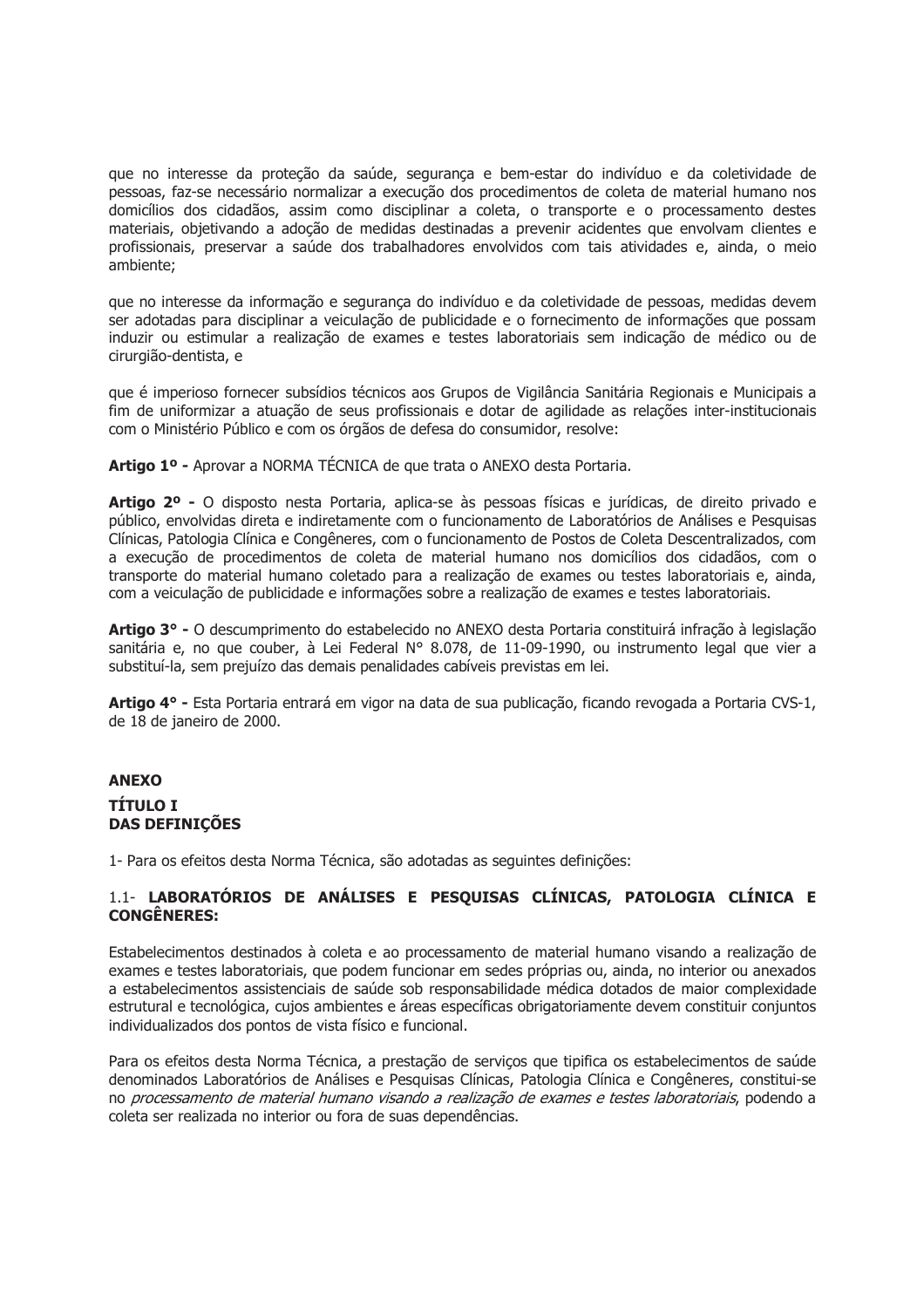que no interesse da proteção da saúde, segurança e bem-estar do indivíduo e da coletividade de pessoas, faz-se necessário normalizar a execução dos procedimentos de coleta de material humano nos domicílios dos cidadãos, assim como disciplinar a coleta, o transporte e o processamento destes materiais, objetivando a adoção de medidas destinadas a prevenir acidentes que envolvam clientes e profissionais, preservar a saúde dos trabalhadores envolvidos com tais atividades e, ainda, o meio ambiente;

que no interesse da informação e segurança do indivíduo e da coletividade de pessoas, medidas devem ser adotadas para disciplinar a veiculação de publicidade e o fornecimento de informações que possam induzir ou estimular a realização de exames e testes laboratoriais sem indicação de médico ou de cirurgião-dentista, e

que é imperioso fornecer subsídios técnicos aos Grupos de Vigilância Sanitária Regionais e Municipais a fim de uniformizar a atuação de seus profissionais e dotar de agilidade as relações inter-institucionais com o Ministério Público e com os órgãos de defesa do consumidor, resolve:

Artigo 1º - Aprovar a NORMA TÉCNICA de que trata o ANEXO desta Portaria.

Artigo 2º - O disposto nesta Portaria, aplica-se às pessoas físicas e jurídicas, de direito privado e público, envolvidas direta e indiretamente com o funcionamento de Laboratórios de Análises e Pesquisas Clínicas, Patologia Clínica e Congêneres, com o funcionamento de Postos de Coleta Descentralizados, com a execução de procedimentos de coleta de material humano nos domicílios dos cidadãos, com o transporte do material humano coletado para a realização de exames ou testes laboratoriais e, ainda, com a veiculação de publicidade e informações sobre a realização de exames e testes laboratoriais.

Artigo 3º - O descumprimento do estabelecido no ANEXO desta Portaria constituirá infração à legislação sanitária e, no que couber, à Lei Federal Nº 8.078, de 11-09-1990, ou instrumento legal que vier a substituí-la, sem prejuízo das demais penalidades cabíveis previstas em lei.

Artigo 4º - Esta Portaria entrará em vigor na data de sua publicação, ficando revogada a Portaria CVS-1, de 18 de janeiro de 2000.

# **ANEXO TÍTULO I DAS DEFINIÇÕES**

1- Para os efeitos desta Norma Técnica, são adotadas as seguintes definições:

# 1.1- LABORATÓRIOS DE ANÁLISES E PESQUISAS CLÍNICAS, PATOLOGIA CLÍNICA E **CONGÊNERES:**

Estabelecimentos destinados à coleta e ao processamento de material humano visando a realização de exames e testes laboratoriais, que podem funcionar em sedes próprias ou, ainda, no interior ou anexados a estabelecimentos assistenciais de saúde sob responsabilidade médica dotados de maior complexidade estrutural e tecnológica, cujos ambientes e áreas específicas obrigatoriamente devem constituir conjuntos individualizados dos pontos de vista físico e funcional.

Para os efeitos desta Norma Técnica, a prestação de serviços que tipifica os estabelecimentos de saúde denominados Laboratórios de Análises e Pesquisas Clínicas, Patologia Clínica e Congêneres, constitui-se no processamento de material humano visando a realização de exames e testes laboratoriais, podendo a coleta ser realizada no interior ou fora de suas dependências.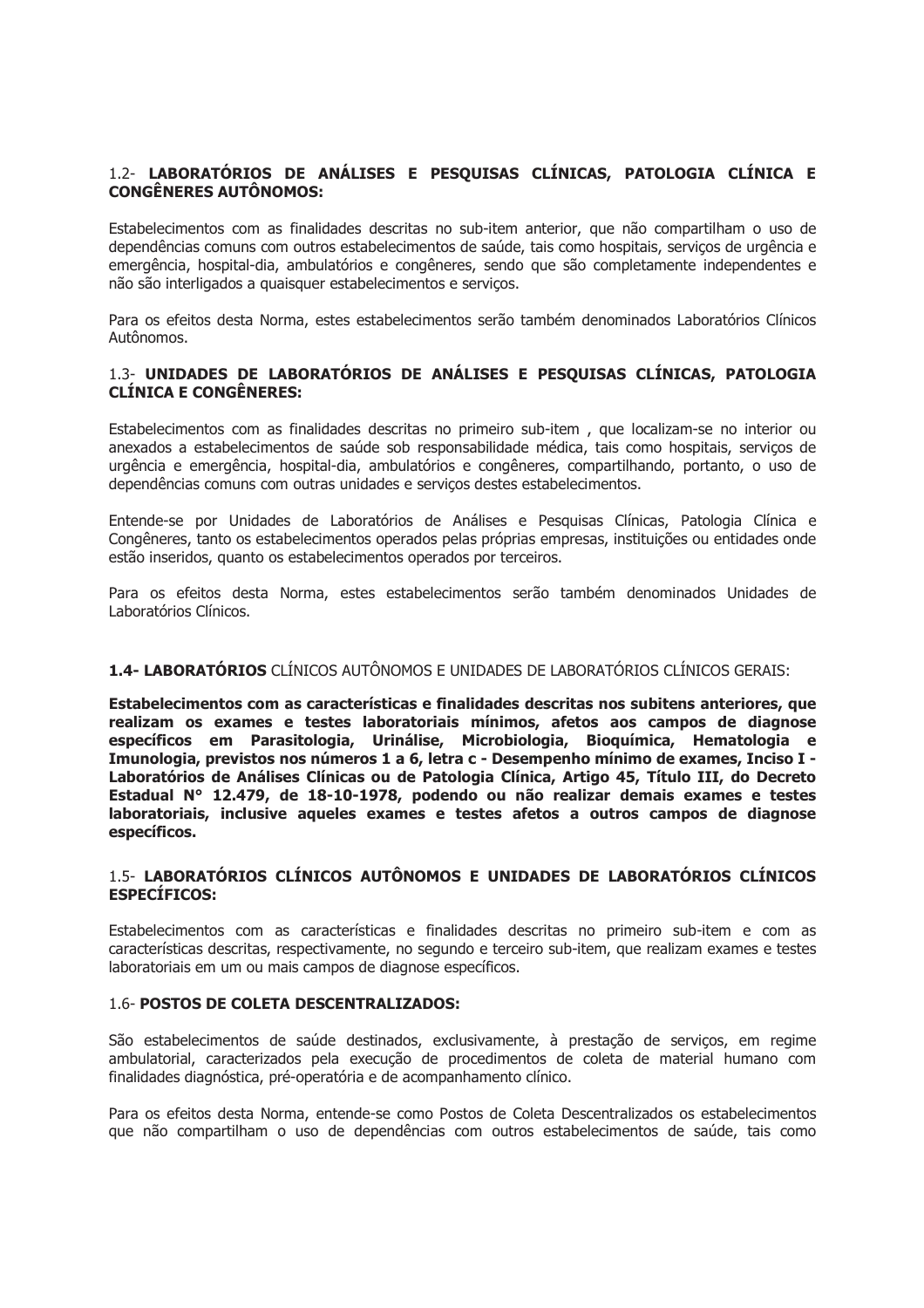# 1.2- LABORATÓRIOS DE ANÁLISES E PESQUISAS CLÍNICAS, PATOLOGIA CLÍNICA E **CONGÊNERES AUTÔNOMOS:**

Estabelecimentos com as finalidades descritas no sub-item anterior, que não compartilham o uso de dependências comuns com outros estabelecimentos de saúde, tais como hospitais, serviços de urgência e emergência, hospital-dia, ambulatórios e congêneres, sendo que são completamente independentes e não são interligados a quaisquer estabelecimentos e servicos.

Para os efeitos desta Norma, estes estabelecimentos serão também denominados Laboratórios Clínicos Autônomos.

# 1.3- UNIDADES DE LABORATÓRIOS DE ANÁLISES E PESQUISAS CLÍNICAS, PATOLOGIA **CLÍNICA E CONGÊNERES:**

Estabelecimentos com as finalidades descritas no primeiro sub-item, que localizam-se no interior ou anexados a estabelecimentos de saúde sob responsabilidade médica, tais como hospitais, serviços de urgência e emergência, hospital-dia, ambulatórios e congêneres, compartilhando, portanto, o uso de dependências comuns com outras unidades e serviços destes estabelecimentos.

Entende-se por Unidades de Laboratórios de Análises e Pesquisas Clínicas, Patologia Clínica e Congêneres, tanto os estabelecimentos operados pelas próprias empresas, instituições ou entidades onde estão inseridos, quanto os estabelecimentos operados por terceiros.

Para os efeitos desta Norma, estes estabelecimentos serão também denominados Unidades de Laboratórios Clínicos.

# 1.4- LABORATÓRIOS CLÍNICOS AUTÔNOMOS E UNIDADES DE LABORATÓRIOS CLÍNICOS GERAIS:

Estabelecimentos com as características e finalidades descritas nos subitens anteriores, que realizam os exames e testes laboratoriais mínimos, afetos aos campos de diagnose específicos em Parasitologia, Urinálise, Microbiologia, Bioquímica, Hematologia e Imunologia, previstos nos números 1 a 6, letra c - Desempenho mínimo de exames, Inciso I -Laboratórios de Análises Clínicas ou de Patologia Clínica, Artigo 45, Título III, do Decreto Estadual Nº 12.479, de 18-10-1978, podendo ou não realizar demais exames e testes laboratoriais, inclusive aqueles exames e testes afetos a outros campos de diagnose específicos.

# 1.5- LABORATÓRIOS CLÍNICOS AUTÔNOMOS E UNIDADES DE LABORATÓRIOS CLÍNICOS **ESPECÍFICOS:**

Estabelecimentos com as características e finalidades descritas no primeiro sub-item e com as características descritas, respectivamente, no segundo e terceiro sub-item, que realizam exames e testes laboratoriais em um ou mais campos de diagnose específicos.

## 1.6- POSTOS DE COLETA DESCENTRALIZADOS:

São estabelecimentos de saúde destinados, exclusivamente, à prestação de serviços, em regime ambulatorial, caracterizados pela execução de procedimentos de coleta de material humano com finalidades diagnóstica, pré-operatória e de acompanhamento clínico.

Para os efeitos desta Norma, entende-se como Postos de Coleta Descentralizados os estabelecimentos que não compartilham o uso de dependências com outros estabelecimentos de saúde, tais como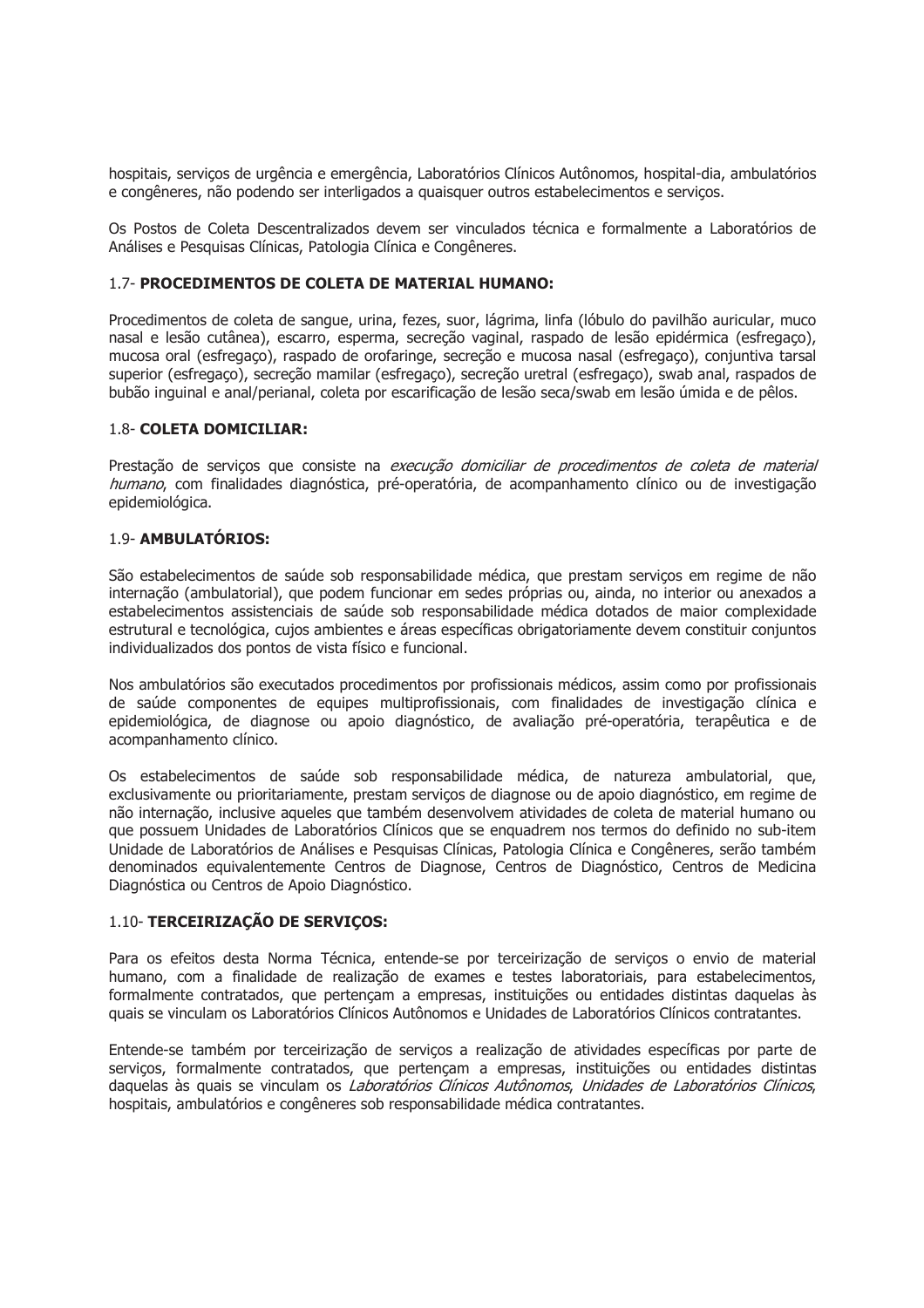hospitais, serviços de urgência e emergência, Laboratórios Clínicos Autônomos, hospital-dia, ambulatórios e congêneres, não podendo ser interligados a quaisquer outros estabelecimentos e serviços.

Os Postos de Coleta Descentralizados devem ser vinculados técnica e formalmente a Laboratórios de Análises e Pesquisas Clínicas, Patologia Clínica e Congêneres.

### 1.7- PROCEDIMENTOS DE COLETA DE MATERIAL HUMANO:

Procedimentos de coleta de sangue, urina, fezes, suor, lágrima, linfa (lóbulo do pavilhão auricular, muco nasal e lesão cutânea), escarro, esperma, secreção vaginal, raspado de lesão epidérmica (esfregaço), mucosa oral (esfregaço), raspado de orofaringe, secreção e mucosa nasal (esfregaço), conjuntiva tarsal superior (esfregaço), secreção mamilar (esfregaço), secreção uretral (esfregaço), swab anal, raspados de bubão inquinal e anal/perianal, coleta por escarificação de lesão seca/swab em lesão úmida e de pêlos.

#### 1.8- COLETA DOMICILIAR:

Prestação de serviços que consiste na execução domiciliar de procedimentos de coleta de material humano, com finalidades diagnóstica, pré-operatória, de acompanhamento clínico ou de investigação epidemiológica.

# 19- AMBULATÓRIOS:

São estabelecimentos de saúde sob responsabilidade médica, que prestam servicos em regime de não internação (ambulatorial), que podem funcionar em sedes próprias ou, ainda, no interior ou anexados a estabelecimentos assistenciais de saúde sob responsabilidade médica dotados de maior complexidade estrutural e tecnológica, cujos ambientes e áreas específicas obrigatoriamente devem constituir conjuntos individualizados dos pontos de vista físico e funcional.

Nos ambulatórios são executados procedimentos por profissionais médicos, assim como por profissionais de saúde componentes de equipes multiprofissionais, com finalidades de investigação clínica e epidemiológica, de diagnose ou apoio diagnóstico, de avaliação pré-operatória, terapêutica e de acompanhamento clínico.

Os estabelecimentos de saúde sob responsabilidade médica, de natureza ambulatorial, que, exclusivamente ou prioritariamente, prestam serviços de diagnose ou de apoio diagnóstico, em regime de não internação, inclusive aqueles que também desenvolvem atividades de coleta de material humano ou que possuem Unidades de Laboratórios Clínicos que se enquadrem nos termos do definido no sub-item Unidade de Laboratórios de Análises e Pesquisas Clínicas, Patologia Clínica e Congêneres, serão também denominados equivalentemente Centros de Diagnose, Centros de Diagnóstico, Centros de Medicina Diagnóstica ou Centros de Apoio Diagnóstico.

## 1.10- TERCEIRIZAÇÃO DE SERVIÇOS:

Para os efeitos desta Norma Técnica, entende-se por terceirização de serviços o envio de material humano, com a finalidade de realização de exames e testes laboratoriais, para estabelecimentos, formalmente contratados, que pertencam a empresas, instituições ou entidades distintas daquelas às quais se vinculam os Laboratórios Clínicos Autônomos e Unidades de Laboratórios Clínicos contratantes.

Entende-se também por terceirização de servicos a realização de atividades específicas por parte de serviços, formalmente contratados, que pertençam a empresas, instituições ou entidades distintas daquelas às quais se vinculam os Laboratórios Clínicos Autônomos, Unidades de Laboratórios Clínicos, hospitais, ambulatórios e congêneres sob responsabilidade médica contratantes.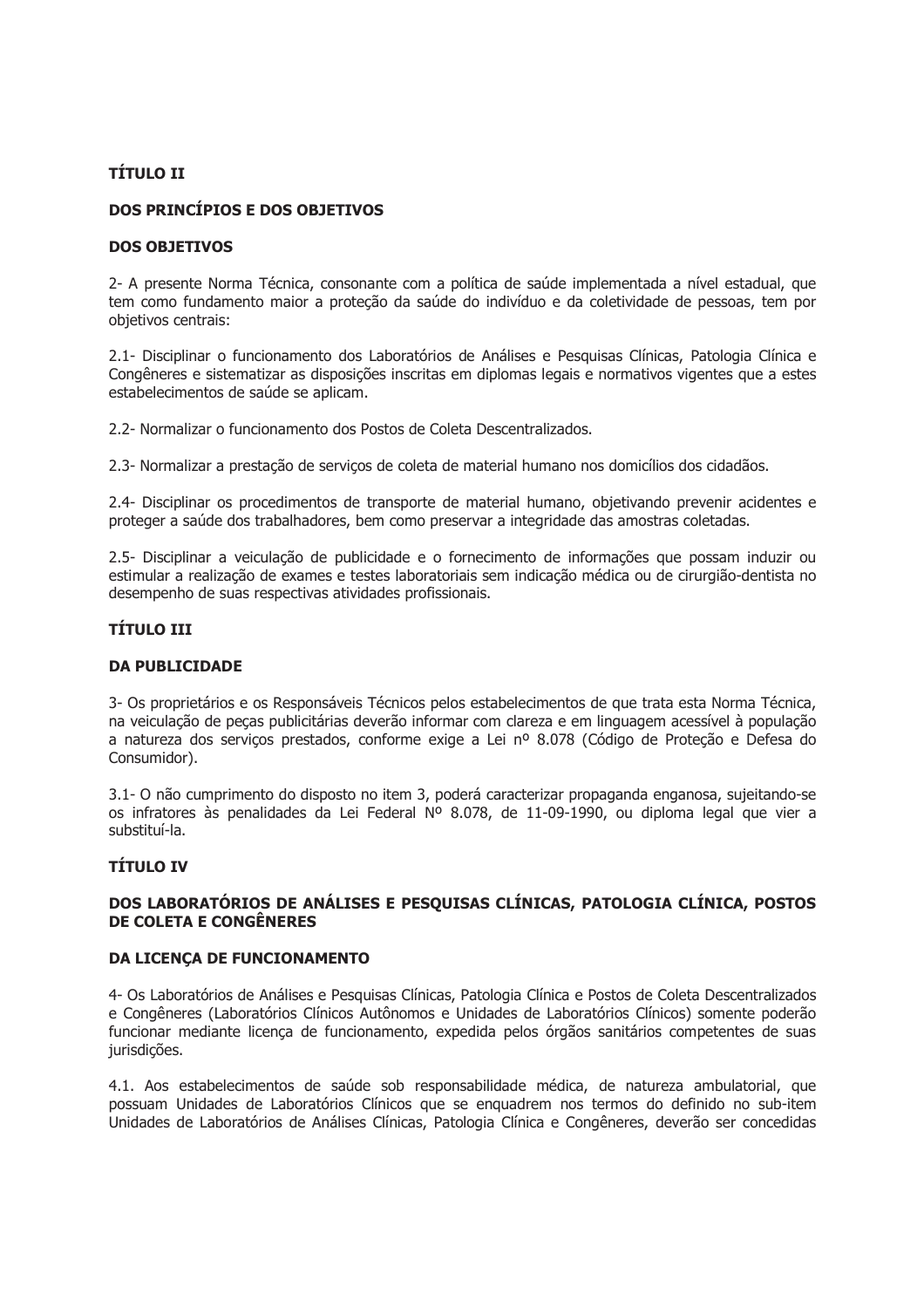# **TÍTULO II**

# DOS PRINCÍPIOS E DOS OBJETIVOS

### **DOS OBJETIVOS**

2- A presente Norma Técnica, consonante com a política de saúde implementada a nível estadual, que tem como fundamento maior a proteção da saúde do indivíduo e da coletividade de pessoas, tem por objetivos centrais:

2.1- Disciplinar o funcionamento dos Laboratórios de Análises e Pesquisas Clínicas, Patologia Clínica e Congêneres e sistematizar as disposições inscritas em diplomas legais e normativos vigentes que a estes estabelecimentos de saúde se aplicam.

2.2- Normalizar o funcionamento dos Postos de Coleta Descentralizados.

2.3- Normalizar a prestação de serviços de coleta de material humano nos domicílios dos cidadãos.

2.4- Disciplinar os procedimentos de transporte de material humano, objetivando prevenir acidentes e proteger a saúde dos trabalhadores, bem como preservar a integridade das amostras coletadas.

2.5- Disciplinar a veiculação de publicidade e o fornecimento de informações que possam induzir ou estimular a realização de exames e testes laboratoriais sem indicação médica ou de cirurgião-dentista no desempenho de suas respectivas atividades profissionais.

# **TÍTULO III**

#### **DA PUBLICIDADE**

3- Os proprietários e os Responsáveis Técnicos pelos estabelecimentos de que trata esta Norma Técnica, na veiculação de peças publicitárias deverão informar com clareza e em linguagem acessível à população a natureza dos serviços prestados, conforme exige a Lei nº 8.078 (Código de Proteção e Defesa do Consumidor).

3.1- O não cumprimento do disposto no item 3, poderá caracterizar propaganda enganosa, sujeitando-se os infratores às penalidades da Lei Federal Nº 8.078, de 11-09-1990, ou diploma legal que vier a substituí-la.

# **TÍTULO IV**

## DOS LABORATÓRIOS DE ANÁLISES E PESQUISAS CLÍNICAS, PATOLOGIA CLÍNICA, POSTOS DE COLETA E CONGÊNERES

## **DA LICENÇA DE FUNCIONAMENTO**

4- Os Laboratórios de Análises e Pesquisas Clínicas, Patologia Clínica e Postos de Coleta Descentralizados e Congêneres (Laboratórios Clínicos Autônomos e Unidades de Laboratórios Clínicos) somente poderão funcionar mediante licenca de funcionamento, expedida pelos órgãos sanitários competentes de suas jurisdicões.

4.1. Aos estabelecimentos de saúde sob responsabilidade médica, de natureza ambulatorial, que possuam Unidades de Laboratórios Clínicos que se enquadrem nos termos do definido no sub-item Unidades de Laboratórios de Análises Clínicas, Patologia Clínica e Congêneres, deverão ser concedidas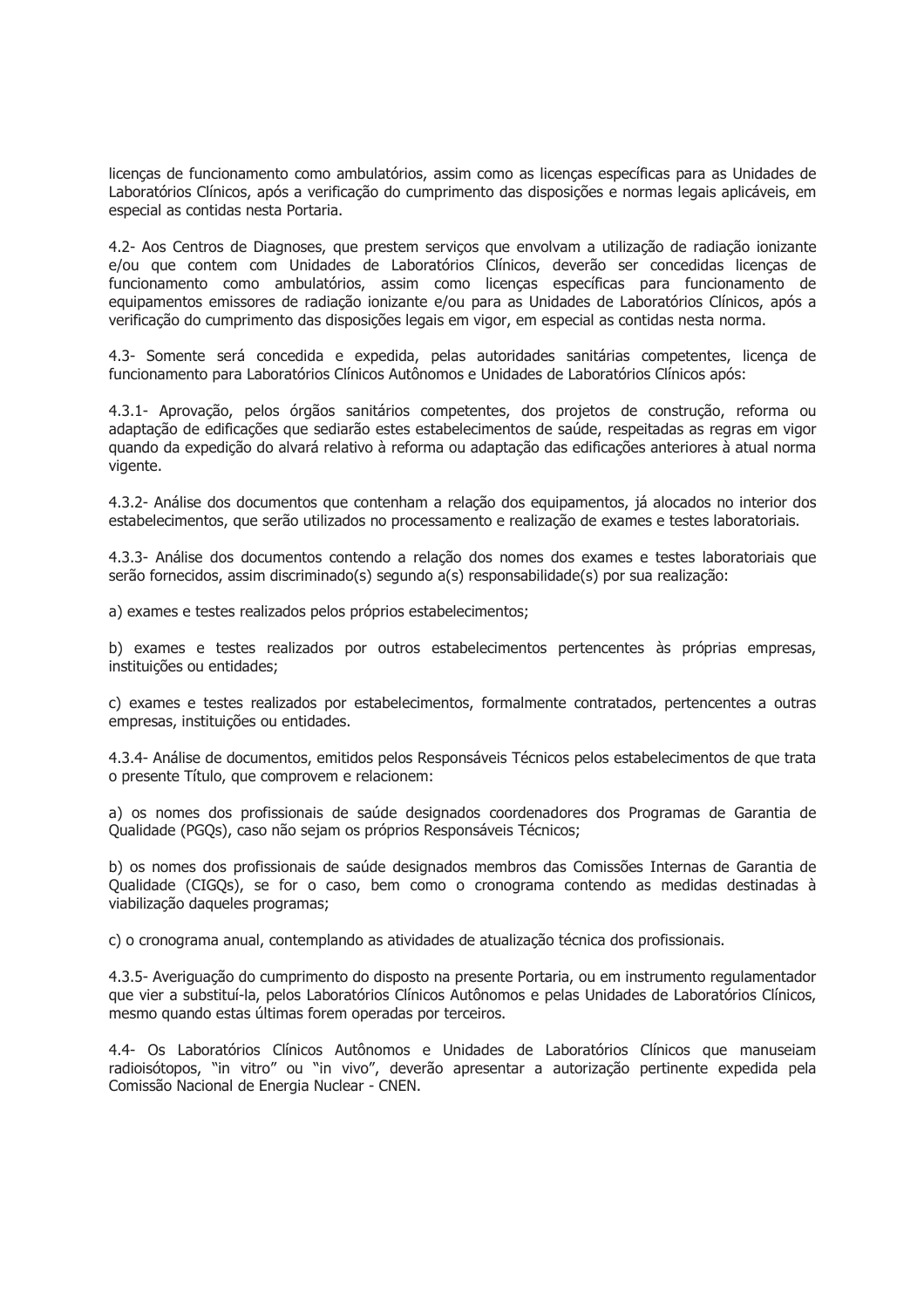licenças de funcionamento como ambulatórios, assim como as licenças específicas para as Unidades de Laboratórios Clínicos, após a verificação do cumprimento das disposições e normas legais aplicáveis, em especial as contidas nesta Portaria.

4.2- Aos Centros de Diagnoses, que prestem serviços que envolvam a utilização de radiação ionizante e/ou que contem com Unidades de Laboratórios Clínicos, deverão ser concedidas licencas de funcionamento como ambulatórios, assim como licencas específicas para funcionamento de equipamentos emissores de radiação ionizante e/ou para as Unidades de Laboratórios Clínicos, após a verificação do cumprimento das disposições legais em vigor, em especial as contidas nesta norma.

4.3- Somente será concedida e expedida, pelas autoridades sanitárias competentes, licença de funcionamento para Laboratórios Clínicos Autônomos e Unidades de Laboratórios Clínicos após:

4.3.1- Aprovação, pelos órgãos sanitários competentes, dos projetos de construção, reforma ou adaptação de edificações que sediarão estes estabelecimentos de saúde, respeitadas as regras em vigor quando da expedição do alvará relativo à reforma ou adaptação das edificações anteriores à atual norma vigente.

4.3.2- Análise dos documentos que contenham a relação dos equipamentos, já alocados no interior dos estabelecimentos, que serão utilizados no processamento e realização de exames e testes laboratoriais.

4.3.3- Análise dos documentos contendo a relação dos nomes dos exames e testes laboratoriais que serão fornecidos, assim discriminado(s) segundo a(s) responsabilidade(s) por sua realização:

a) exames e testes realizados pelos próprios estabelecimentos;

b) exames e testes realizados por outros estabelecimentos pertencentes às próprias empresas, instituições ou entidades;

c) exames e testes realizados por estabelecimentos, formalmente contratados, pertencentes a outras empresas, instituições ou entidades.

4.3.4- Análise de documentos, emitidos pelos Responsáveis Técnicos pelos estabelecimentos de que trata o presente Título, que comprovem e relacionem:

a) os nomes dos profissionais de saúde designados coordenadores dos Programas de Garantia de Qualidade (PGQs), caso não sejam os próprios Responsáveis Técnicos;

b) os nomes dos profissionais de saúde designados membros das Comissões Internas de Garantia de Qualidade (CIGOs), se for o caso, bem como o cronograma contendo as medidas destinadas à viabilização daqueles programas;

c) o cronograma anual, contemplando as atividades de atualização técnica dos profissionais.

4.3.5- Averiguação do cumprimento do disposto na presente Portaria, ou em instrumento regulamentador que vier a substituí-la, pelos Laboratórios Clínicos Autônomos e pelas Unidades de Laboratórios Clínicos, mesmo quando estas últimas forem operadas por terceiros.

4.4- Os Laboratórios Clínicos Autônomos e Unidades de Laboratórios Clínicos que manuseiam radioisótopos, "in vitro" ou "in vivo", deverão apresentar a autorização pertinente expedida pela Comissão Nacional de Energia Nuclear - CNEN.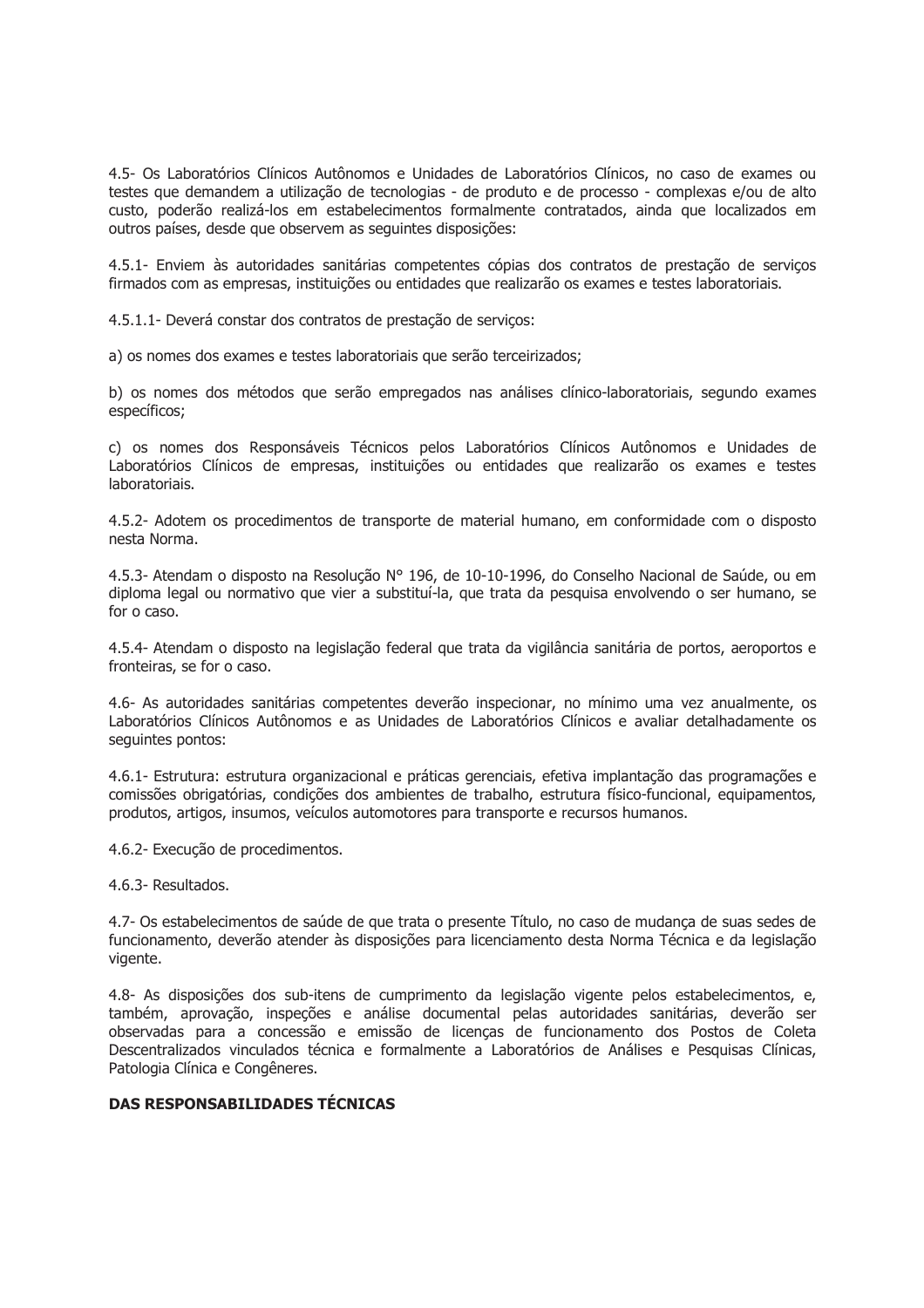4.5- Os Laboratórios Clínicos Autônomos e Unidades de Laboratórios Clínicos, no caso de exames ou testes que demandem a utilização de tecnologias - de produto e de processo - complexas e/ou de alto custo, poderão realizá-los em estabelecimentos formalmente contratados, ainda que localizados em outros países, desde que observem as seguintes disposições:

4.5.1- Enviem às autoridades sanitárias competentes cópias dos contratos de prestação de servicos firmados com as empresas, instituições ou entidades que realizarão os exames e testes laboratoriais.

4.5.1.1- Deverá constar dos contratos de prestação de servicos:

a) os nomes dos exames e testes laboratoriais que serão terceirizados;

b) os nomes dos métodos que serão empregados nas análises clínico-laboratoriais, segundo exames específicos;

c) os nomes dos Responsáveis Técnicos pelos Laboratórios Clínicos Autônomos e Unidades de Laboratórios Clínicos de empresas, instituições ou entidades que realizarão os exames e testes laboratoriais.

4.5.2- Adotem os procedimentos de transporte de material humano, em conformidade com o disposto nesta Norma.

4.5.3- Atendam o disposto na Resolução Nº 196, de 10-10-1996, do Conselho Nacional de Saúde, ou em diploma legal ou normativo que vier a substituí-la, que trata da pesquisa envolvendo o ser humano, se for o caso.

4.5.4- Atendam o disposto na legislação federal que trata da vigilância sanitária de portos, aeroportos e fronteiras, se for o caso.

4.6- As autoridades sanitárias competentes deverão inspecionar, no mínimo uma vez anualmente, os Laboratórios Clínicos Autônomos e as Unidades de Laboratórios Clínicos e avaliar detalhadamente os sequintes pontos:

4.6.1- Estrutura: estrutura organizacional e práticas gerenciais, efetiva implantação das programações e comissões obrigatórias, condições dos ambientes de trabalho, estrutura físico-funcional, equipamentos, produtos, artigos, insumos, veículos automotores para transporte e recursos humanos.

4.6.2- Execução de procedimentos.

4.6.3- Resultados.

4.7- Os estabelecimentos de saúde de que trata o presente Título, no caso de mudança de suas sedes de funcionamento, deverão atender às disposições para licenciamento desta Norma Técnica e da legislação vigente.

4.8- As disposições dos sub-itens de cumprimento da legislação vigente pelos estabelecimentos, e, também, aprovação, inspeções e análise documental pelas autoridades sanitárias, deverão ser observadas para a concessão e emissão de licenças de funcionamento dos Postos de Coleta Descentralizados vinculados técnica e formalmente a Laboratórios de Análises e Pesquisas Clínicas, Patologia Clínica e Congêneres.

## **DAS RESPONSABILIDADES TÉCNICAS**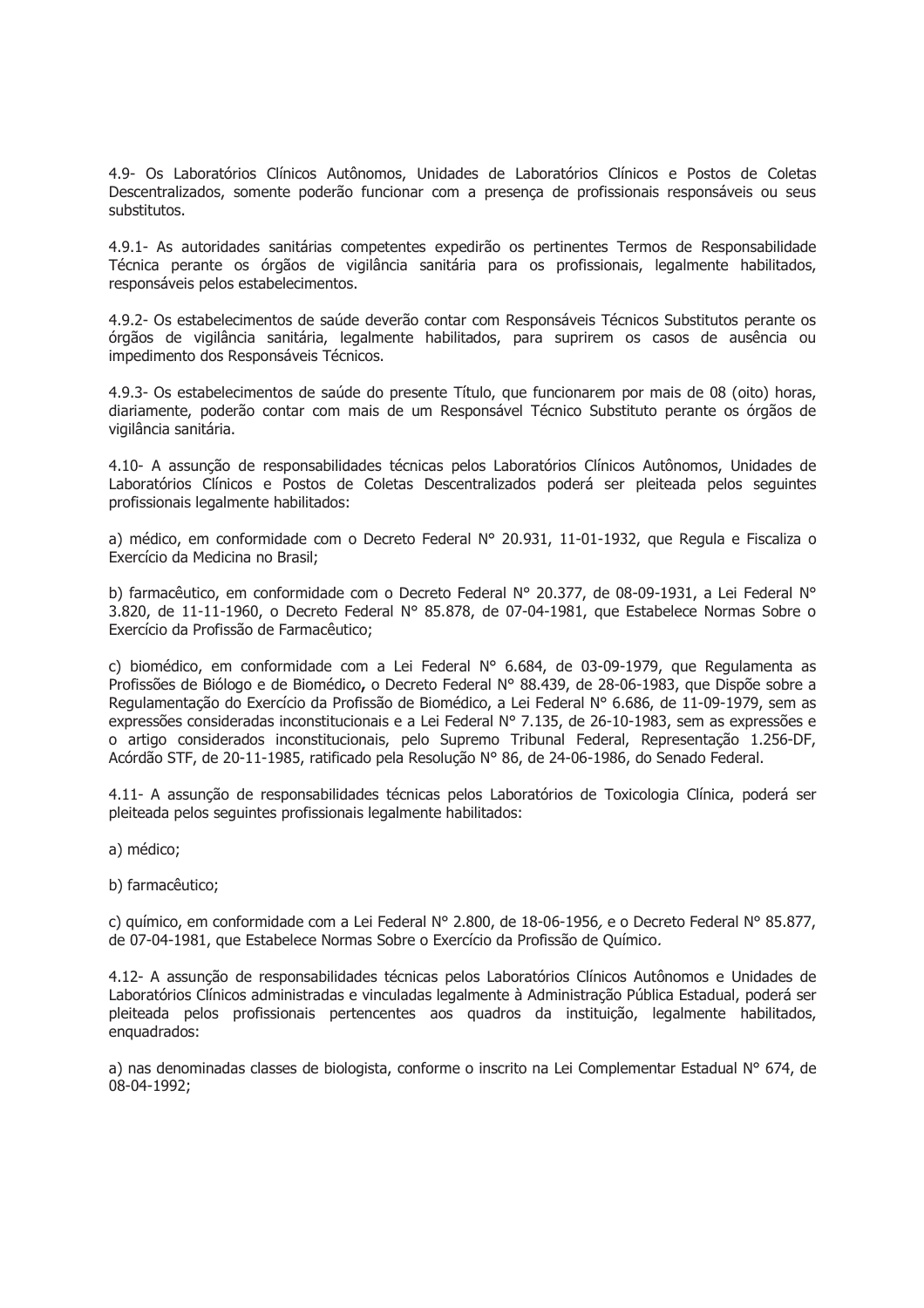4.9- Os Laboratórios Clínicos Autônomos, Unidades de Laboratórios Clínicos e Postos de Coletas Descentralizados, somente poderão funcionar com a presença de profissionais responsáveis ou seus substitutos.

4.9.1- As autoridades sanitárias competentes expedirão os pertinentes Termos de Responsabilidade Técnica perante os órgãos de vigilância sanitária para os profissionais, legalmente habilitados, responsáveis pelos estabelecimentos.

4.9.2- Os estabelecimentos de saúde deverão contar com Responsáveis Técnicos Substitutos perante os órgãos de vigilância sanitária, legalmente habilitados, para suprirem os casos de ausência ou impedimento dos Responsáveis Técnicos.

4.9.3- Os estabelecimentos de saúde do presente Título, que funcionarem por mais de 08 (oito) horas, diariamente, poderão contar com mais de um Responsável Técnico Substituto perante os órgãos de vigilância sanitária.

4.10- A assunção de responsabilidades técnicas pelos Laboratórios Clínicos Autônomos, Unidades de Laboratórios Clínicos e Postos de Coletas Descentralizados poderá ser pleiteada pelos seguintes profissionais legalmente habilitados:

a) médico, em conformidade com o Decreto Federal Nº 20.931, 11-01-1932, que Regula e Fiscaliza o Exercício da Medicina no Brasil;

b) farmacêutico, em conformidade com o Decreto Federal Nº 20.377, de 08-09-1931, a Lei Federal Nº 3.820, de 11-11-1960, o Decreto Federal Nº 85.878, de 07-04-1981, que Estabelece Normas Sobre o Exercício da Profissão de Farmacêutico;

c) biomédico, em conformidade com a Lei Federal  $N^{\circ}$  6.684, de 03-09-1979, que Regulamenta as Profissões de Biólogo e de Biomédico, o Decreto Federal Nº 88.439, de 28-06-1983, que Dispõe sobre a Regulamentação do Exercício da Profissão de Biomédico, a Lei Federal Nº 6.686, de 11-09-1979, sem as expressões consideradas inconstitucionais e a Lei Federal Nº 7.135, de 26-10-1983, sem as expressões e o artigo considerados inconstitucionais, pelo Supremo Tribunal Federal, Representação 1.256-DF, Acórdão STF, de 20-11-1985, ratificado pela Resolução Nº 86, de 24-06-1986, do Senado Federal.

4.11- A assunção de responsabilidades técnicas pelos Laboratórios de Toxicologia Clínica, poderá ser pleiteada pelos seguintes profissionais legalmente habilitados:

a) médico;

b) farmacêutico;

c) químico, em conformidade com a Lei Federal Nº 2.800, de 18-06-1956, e o Decreto Federal Nº 85.877, de 07-04-1981, que Estabelece Normas Sobre o Exercício da Profissão de Químico.

4.12- A assunção de responsabilidades técnicas pelos Laboratórios Clínicos Autônomos e Unidades de Laboratórios Clínicos administradas e vinculadas legalmente à Administração Pública Estadual, poderá ser pleiteada pelos profissionais pertencentes aos quadros da instituição, legalmente habilitados, enguadrados:

a) nas denominadas classes de biologista, conforme o inscrito na Lei Complementar Estadual Nº 674, de 08-04-1992: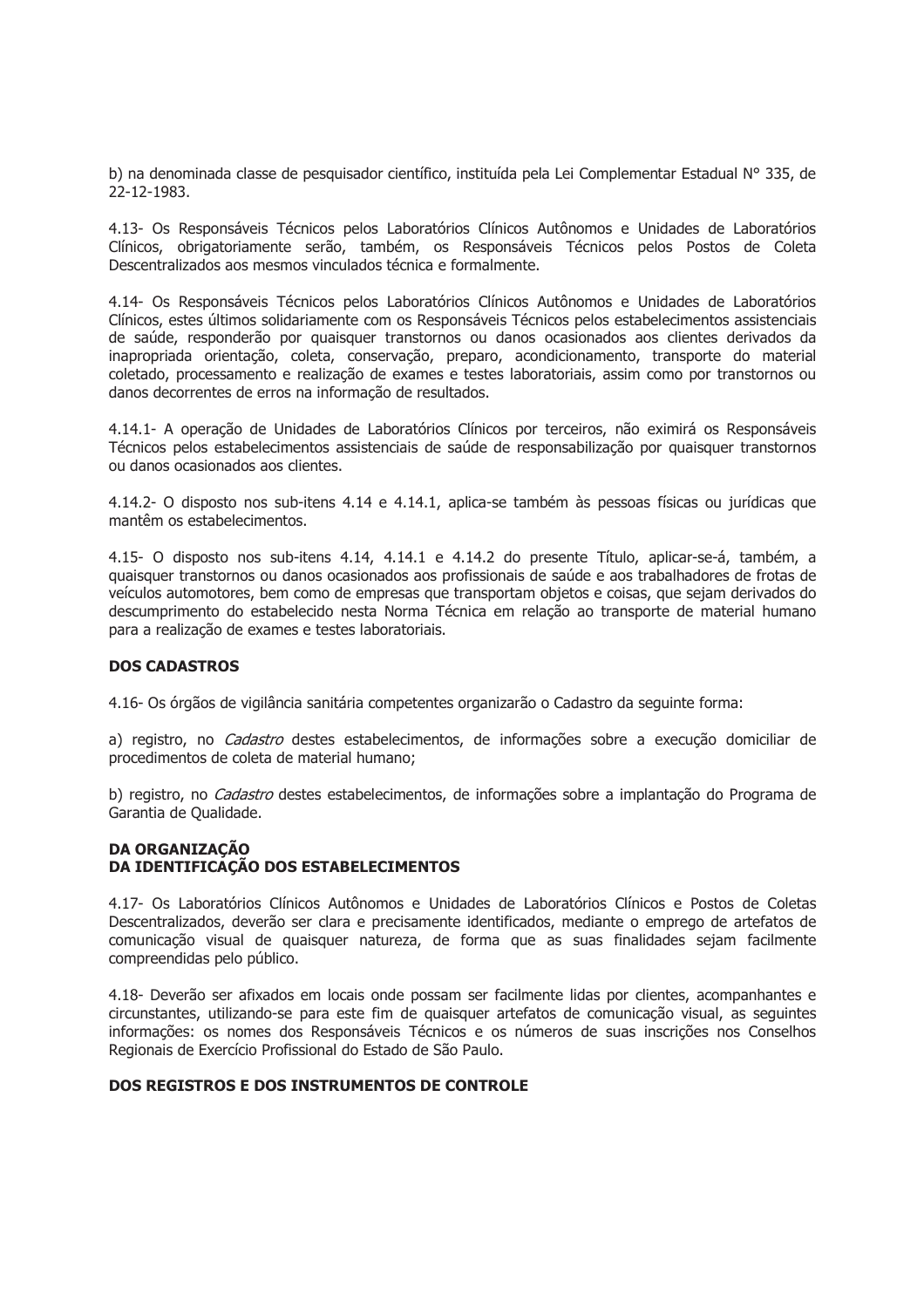b) na denominada classe de pesquisador científico, instituída pela Lei Complementar Estadual Nº 335, de 22-12-1983.

4.13- Os Responsáveis Técnicos pelos Laboratórios Clínicos Autônomos e Unidades de Laboratórios Clínicos, obrigatoriamente serão, também, os Responsáveis Técnicos pelos Postos de Coleta Descentralizados aos mesmos vinculados técnica e formalmente.

4.14- Os Responsáveis Técnicos pelos Laboratórios Clínicos Autônomos e Unidades de Laboratórios Clínicos, estes últimos solidariamente com os Responsáveis Técnicos pelos estabelecimentos assistenciais de saúde, responderão por quaisquer transtornos ou danos ocasionados aos clientes derivados da inapropriada orientação, coleta, conservação, preparo, acondicionamento, transporte do material coletado, processamento e realização de exames e testes laboratoriais, assim como por transtornos ou danos decorrentes de erros na informação de resultados.

4.14.1- A operação de Unidades de Laboratórios Clínicos por terceiros, não eximirá os Responsáveis Técnicos pelos estabelecimentos assistenciais de saúde de responsabilização por quaisquer transtornos ou danos ocasionados aos clientes.

4.14.2- O disposto nos sub-itens 4.14 e 4.14.1, aplica-se também às pessoas físicas ou jurídicas que mantêm os estabelecimentos.

4.15- O disposto nos sub-itens 4.14, 4.14.1 e 4.14.2 do presente Título, aplicar-se-á, também, a quaisquer transtornos ou danos ocasionados aos profissionais de saúde e aos trabalhadores de frotas de veículos automotores, bem como de empresas que transportam objetos e coisas, que sejam derivados do descumprimento do estabelecido nesta Norma Técnica em relação ao transporte de material humano para a realização de exames e testes laboratoriais.

#### **DOS CADASTROS**

4.16- Os órgãos de vigilância sanitária competentes organizarão o Cadastro da seguinte forma:

a) registro, no Cadastro destes estabelecimentos, de informações sobre a execução domiciliar de procedimentos de coleta de material humano:

b) registro, no Cadastro destes estabelecimentos, de informações sobre a implantação do Programa de Garantia de Oualidade.

## **DA ORGANIZAÇÃO** DA IDENTIFICAÇÃO DOS ESTABELECIMENTOS

4.17- Os Laboratórios Clínicos Autônomos e Unidades de Laboratórios Clínicos e Postos de Coletas Descentralizados, deverão ser clara e precisamente identificados, mediante o emprego de artefatos de comunicação visual de quaisquer natureza, de forma que as suas finalidades sejam facilmente compreendidas pelo público.

4.18- Deverão ser afixados em locais onde possam ser facilmente lidas por clientes, acompanhantes e circunstantes, utilizando-se para este fim de quaisquer artefatos de comunicação visual, as seguintes informações: os nomes dos Responsáveis Técnicos e os números de suas inscrições nos Conselhos Regionais de Exercício Profissional do Estado de São Paulo.

#### DOS REGISTROS E DOS INSTRUMENTOS DE CONTROLE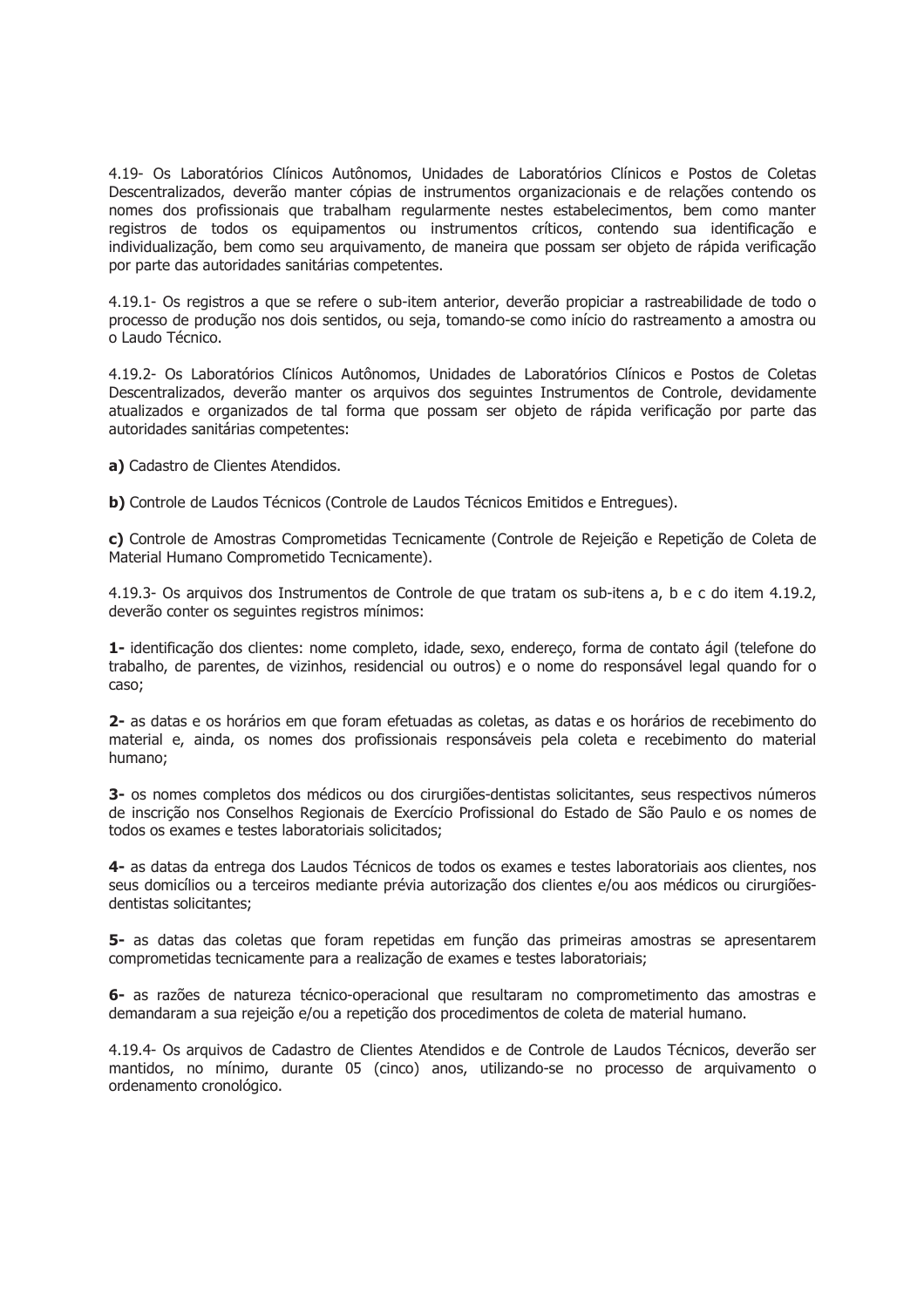4.19- Os Laboratórios Clínicos Autônomos, Unidades de Laboratórios Clínicos e Postos de Coletas Descentralizados, deverão manter cópias de instrumentos organizacionais e de relações contendo os nomes dos profissionais que trabalham regularmente nestes estabelecimentos, bem como manter registros de todos os equipamentos ou instrumentos críticos, contendo sua identificação e individualização, bem como seu arquivamento, de maneira que possam ser objeto de rápida verificação por parte das autoridades sanitárias competentes.

4.19.1- Os registros a que se refere o sub-item anterior, deverão propiciar a rastreabilidade de todo o processo de produção nos dois sentidos, ou seja, tomando-se como início do rastreamento a amostra ou o Laudo Técnico.

4.19.2- Os Laboratórios Clínicos Autônomos, Unidades de Laboratórios Clínicos e Postos de Coletas Descentralizados, deverão manter os arguivos dos seguintes Instrumentos de Controle, devidamente atualizados e organizados de tal forma que possam ser objeto de rápida verificação por parte das autoridades sanitárias competentes:

a) Cadastro de Clientes Atendidos.

b) Controle de Laudos Técnicos (Controle de Laudos Técnicos Emitidos e Entregues).

c) Controle de Amostras Comprometidas Tecnicamente (Controle de Rejeição e Repetição de Coleta de Material Humano Comprometido Tecnicamente).

4.19.3- Os arquivos dos Instrumentos de Controle de que tratam os sub-itens a, b e c do item 4.19.2, deverão conter os sequintes registros mínimos:

1- identificação dos clientes: nome completo, idade, sexo, endereço, forma de contato ágil (telefone do trabalho, de parentes, de vizinhos, residencial ou outros) e o nome do responsável legal quando for o caso;

2- as datas e os horários em que foram efetuadas as coletas, as datas e os horários de recebimento do material e, ainda, os nomes dos profissionais responsáveis pela coleta e recebimento do material humano:

3- os nomes completos dos médicos ou dos cirurgiões-dentistas solicitantes, seus respectivos números de inscrição nos Conselhos Regionais de Exercício Profissional do Estado de São Paulo e os nomes de todos os exames e testes laboratoriais solicitados;

4- as datas da entrega dos Laudos Técnicos de todos os exames e testes laboratoriais aos clientes, nos seus domicílios ou a terceiros mediante prévia autorização dos clientes e/ou aos médicos ou cirurgiõesdentistas solicitantes:

5- as datas das coletas que foram repetidas em função das primeiras amostras se apresentarem comprometidas tecnicamente para a realização de exames e testes laboratoriais;

6- as razões de natureza técnico-operacional que resultaram no comprometimento das amostras e demandaram a sua rejeição e/ou a repetição dos procedimentos de coleta de material humano.

4.19.4- Os arquivos de Cadastro de Clientes Atendidos e de Controle de Laudos Técnicos, deverão ser mantidos, no mínimo, durante 05 (cinco) anos, utilizando-se no processo de arquivamento o ordenamento cronológico.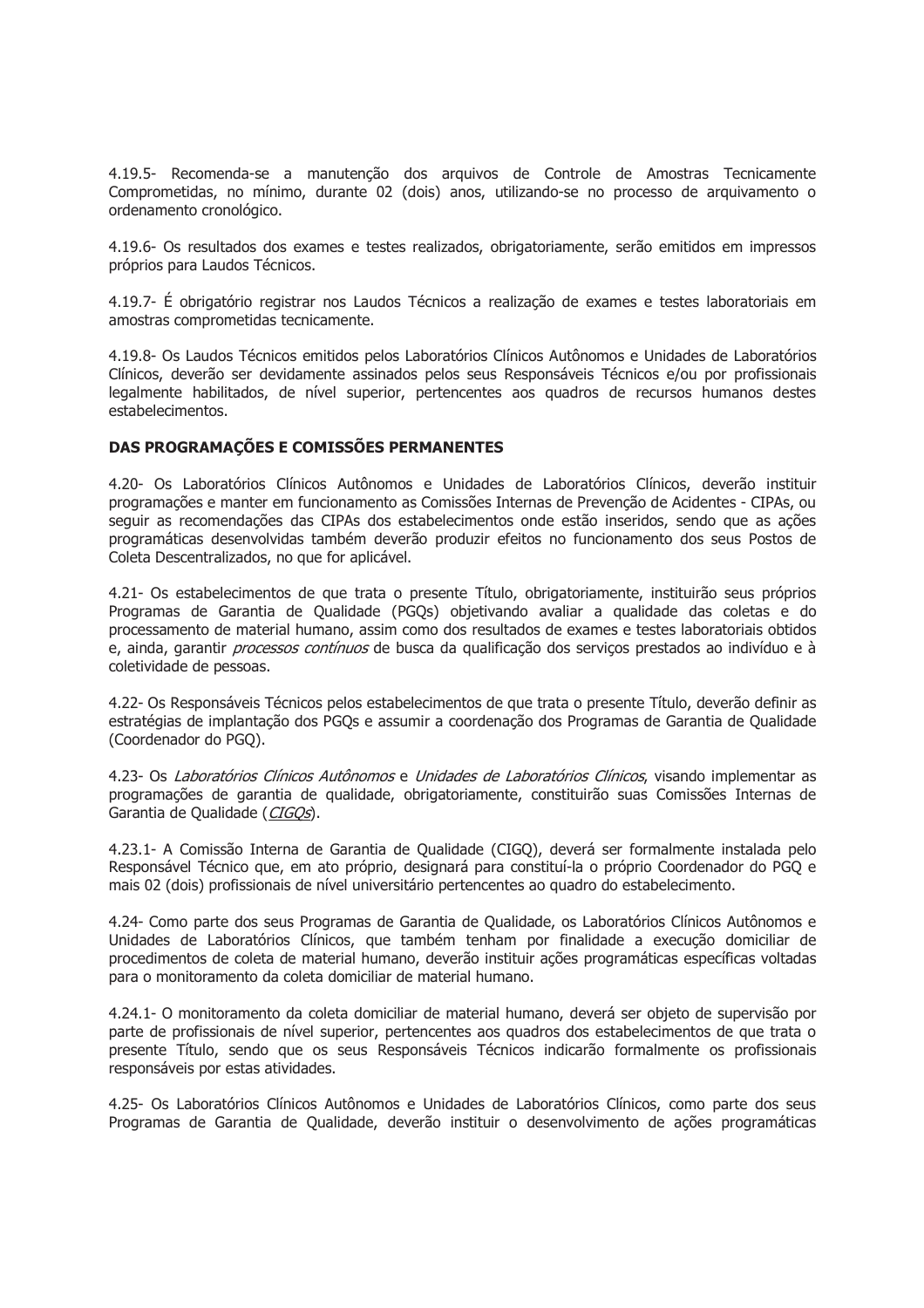4.19.5- Recomenda-se a manutenção dos arquivos de Controle de Amostras Tecnicamente Comprometidas, no mínimo, durante 02 (dois) anos, utilizando-se no processo de arquivamento o ordenamento cronológico.

4.19.6- Os resultados dos exames e testes realizados, obrigatoriamente, serão emitidos em impressos próprios para Laudos Técnicos.

4.19.7- É obrigatório registrar nos Laudos Técnicos a realização de exames e testes laboratoriais em amostras comprometidas tecnicamente.

4.19.8- Os Laudos Técnicos emitidos pelos Laboratórios Clínicos Autônomos e Unidades de Laboratórios Clínicos, deverão ser devidamente assinados pelos seus Responsáveis Técnicos e/ou por profissionais legalmente habilitados, de nível superior, pertencentes aos quadros de recursos humanos destes estabelecimentos.

## DAS PROGRAMAÇÕES E COMISSÕES PERMANENTES

4.20- Os Laboratórios Clínicos Autônomos e Unidades de Laboratórios Clínicos, deverão instituir programações e manter em funcionamento as Comissões Internas de Prevenção de Acidentes - CIPAs, ou sequir as recomendações das CIPAs dos estabelecimentos onde estão inseridos, sendo que as ações programáticas desenvolvidas também deverão produzir efeitos no funcionamento dos seus Postos de Coleta Descentralizados, no que for aplicável.

4.21- Os estabelecimentos de que trata o presente Título, obrigatoriamente, instituirão seus próprios Programas de Garantia de Qualidade (PGQs) objetivando avaliar a qualidade das coletas e do processamento de material humano, assim como dos resultados de exames e testes laboratoriais obtidos e, ainda, garantir *processos contínuos* de busca da qualificação dos serviços prestados ao indivíduo e à coletividade de pessoas.

4.22- Os Responsáveis Técnicos pelos estabelecimentos de que trata o presente Título, deverão definir as estratégias de implantação dos PGQs e assumir a coordenação dos Programas de Garantia de Qualidade (Coordenador do PGQ).

4.23- Os Laboratórios Clínicos Autônomos e Unidades de Laboratórios Clínicos, visando implementar as programações de garantia de qualidade, obrigatoriamente, constituirão suas Comissões Internas de Garantia de Oualidade (CIGOs).

4.23.1- A Comissão Interna de Garantia de Qualidade (CIGQ), deverá ser formalmente instalada pelo Responsável Técnico que, em ato próprio, designará para constituí-la o próprio Coordenador do PGO e mais 02 (dois) profissionais de nível universitário pertencentes ao quadro do estabelecimento.

4.24- Como parte dos seus Programas de Garantia de Qualidade, os Laboratórios Clínicos Autônomos e Unidades de Laboratórios Clínicos, que também tenham por finalidade a execução domiciliar de procedimentos de coleta de material humano, deverão instituir ações programáticas específicas voltadas para o monitoramento da coleta domiciliar de material humano.

4.24.1- O monitoramento da coleta domiciliar de material humano, deverá ser objeto de supervisão por parte de profissionais de nível superior, pertencentes aos quadros dos estabelecimentos de que trata o presente Título, sendo que os seus Responsáveis Técnicos indicarão formalmente os profissionais responsáveis por estas atividades.

4.25- Os Laboratórios Clínicos Autônomos e Unidades de Laboratórios Clínicos, como parte dos seus Programas de Garantia de Qualidade, deverão instituir o desenvolvimento de ações programáticas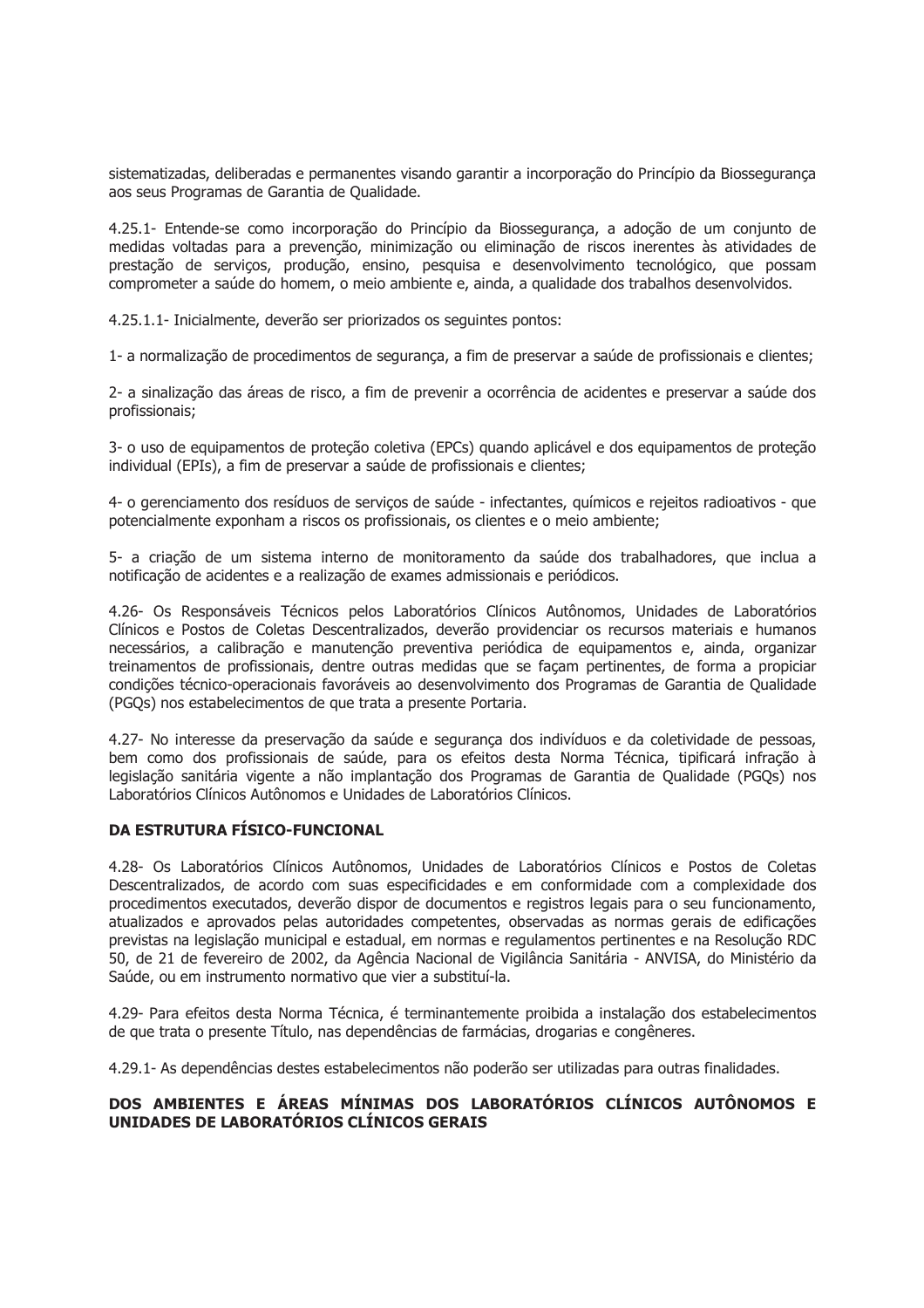sistematizadas, deliberadas e permanentes visando garantir a incorporação do Princípio da Biossegurança aos seus Programas de Garantia de Qualidade.

4.25.1- Entende-se como incorporação do Princípio da Biossegurança, a adoção de um conjunto de medidas voltadas para a prevenção, minimização ou eliminação de riscos inerentes às atividades de prestação de servicos, produção, ensino, pesquisa e desenvolvimento tecnológico, que possam comprometer a saúde do homem, o mejo ambiente e, ainda, a qualidade dos trabalhos desenvolvidos.

4.25.1.1- Inicialmente, deverão ser priorizados os seguintes pontos:

1- a normalização de procedimentos de segurança, a fim de preservar a saúde de profissionais e clientes;

2- a sinalização das áreas de risco, a fim de prevenir a ocorrência de acidentes e preservar a saúde dos profissionais;

3- o uso de equipamentos de proteção coletiva (EPCs) quando aplicável e dos equipamentos de proteção individual (EPIs), a fim de preservar a saúde de profissionais e clientes;

4- o gerenciamento dos resíduos de servicos de saúde - infectantes, guímicos e rejeitos radioativos - que potencialmente exponham a riscos os profissionais, os clientes e o meio ambiente;

5- a criação de um sistema interno de monitoramento da saúde dos trabalhadores, que inclua a notificação de acidentes e a realização de exames admissionais e periódicos.

4.26- Os Responsáveis Técnicos pelos Laboratórios Clínicos Autônomos, Unidades de Laboratórios Clínicos e Postos de Coletas Descentralizados, deverão providenciar os recursos materiais e humanos necessários, a calibração e manutenção preventiva periódica de equipamentos e, ainda, organizar treinamentos de profissionais, dentre outras medidas que se façam pertinentes, de forma a propiciar condições técnico-operacionais favoráveis ao desenvolvimento dos Programas de Garantia de Qualidade (PGQs) nos estabelecimentos de que trata a presente Portaria.

4.27- No interesse da preservação da saúde e segurança dos indivíduos e da coletividade de pessoas, bem como dos profissionais de saúde, para os efeitos desta Norma Técnica, tipificará infração à legislação sanitária vigente a não implantação dos Programas de Garantia de Qualidade (PGOs) nos Laboratórios Clínicos Autônomos e Unidades de Laboratórios Clínicos.

# **DA ESTRUTURA FÍSICO-FUNCIONAL**

4.28- Os Laboratórios Clínicos Autônomos, Unidades de Laboratórios Clínicos e Postos de Coletas Descentralizados, de acordo com suas especificidades e em conformidade com a complexidade dos procedimentos executados, deverão dispor de documentos e registros legais para o seu funcionamento, atualizados e aprovados pelas autoridades competentes, observadas as normas gerais de edificações previstas na legislação municipal e estadual, em normas e regulamentos pertinentes e na Resolução RDC 50, de 21 de fevereiro de 2002, da Agência Nacional de Vigilância Sanitária - ANVISA, do Ministério da Saúde, ou em instrumento normativo que vier a substituí-la.

4.29- Para efeitos desta Norma Técnica, é terminantemente proibida a instalação dos estabelecimentos de que trata o presente Título, nas dependências de farmácias, drogarias e congêneres.

4.29.1- As dependências destes estabelecimentos não poderão ser utilizadas para outras finalidades.

## DOS AMBIENTES E ÁREAS MÍNIMAS DOS LABORATÓRIOS CLÍNICOS AUTÔNOMOS E UNIDADES DE LABORATÓRIOS CLÍNICOS GERAIS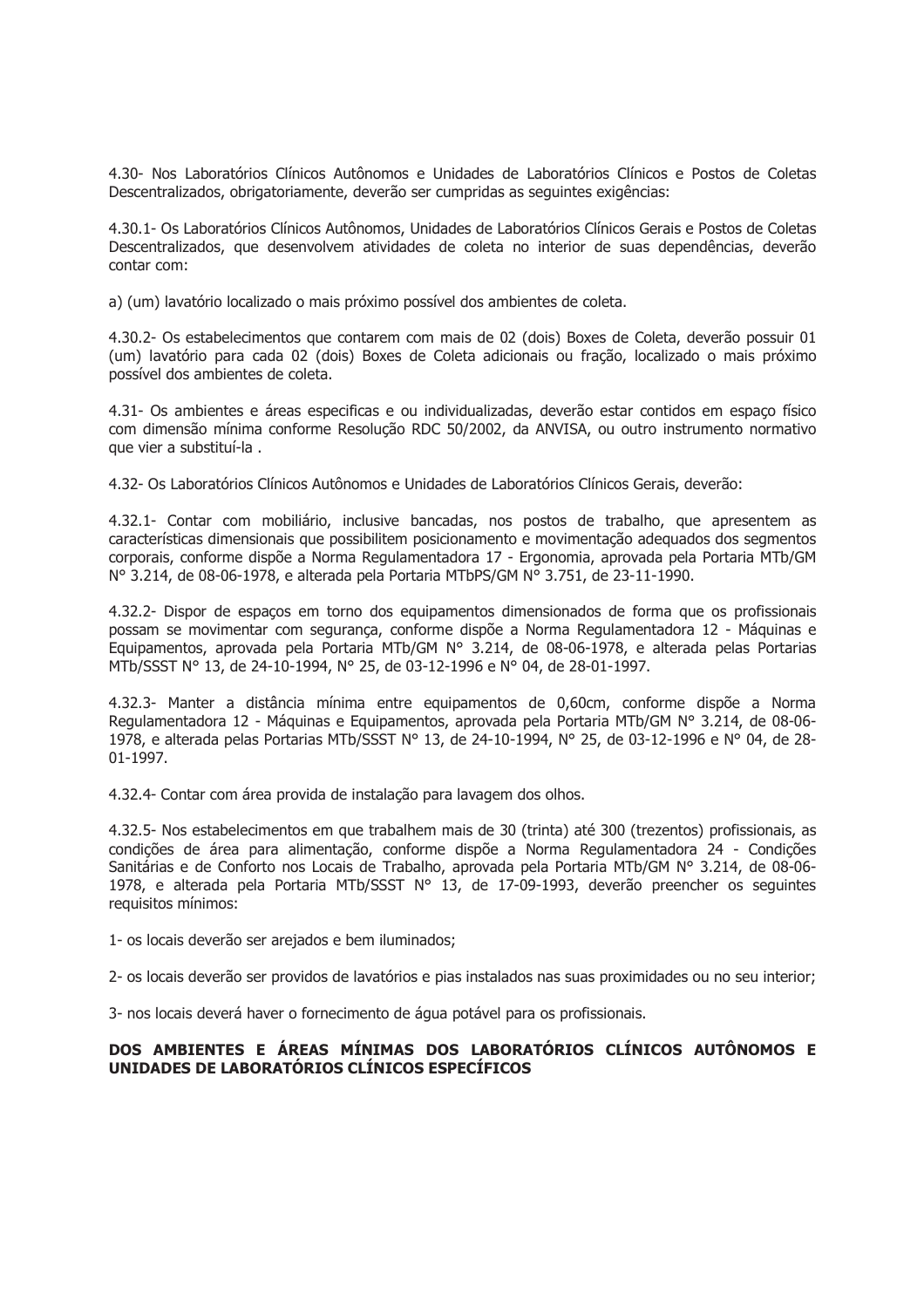4.30- Nos Laboratórios Clínicos Autônomos e Unidades de Laboratórios Clínicos e Postos de Coletas Descentralizados, obrigatoriamente, deverão ser cumpridas as seguintes exigências:

4.30.1- Os Laboratórios Clínicos Autônomos, Unidades de Laboratórios Clínicos Gerais e Postos de Coletas Descentralizados, que desenvolvem atividades de coleta no interior de suas dependências, deverão contar com:

a) (um) lavatório localizado o mais próximo possível dos ambientes de coleta.

4.30.2- Os estabelecimentos que contarem com mais de 02 (dois) Boxes de Coleta, deverão possuir 01 (um) lavatório para cada 02 (dois) Boxes de Coleta adicionais ou fração, localizado o mais próximo possível dos ambientes de coleta.

4.31- Os ambientes e áreas especificas e ou individualizadas, deverão estar contidos em espaço físico com dimensão mínima conforme Resolução RDC 50/2002, da ANVISA, ou outro instrumento normativo que vier a substituí-la.

4.32- Os Laboratórios Clínicos Autônomos e Unidades de Laboratórios Clínicos Gerais, deverão:

4.32.1- Contar com mobiliário, inclusive bancadas, nos postos de trabalho, que apresentem as características dimensionais que possibilitem posicionamento e movimentação adequados dos segmentos corporais, conforme dispõe a Norma Regulamentadora 17 - Ergonomia, aprovada pela Portaria MTb/GM Nº 3.214, de 08-06-1978, e alterada pela Portaria MTbPS/GM Nº 3.751, de 23-11-1990.

4.32.2- Dispor de espaços em torno dos equipamentos dimensionados de forma que os profissionais possam se movimentar com segurança, conforme dispõe a Norma Regulamentadora 12 - Máquinas e Equipamentos, aprovada pela Portaria MTb/GM Nº 3.214, de 08-06-1978, e alterada pelas Portarias MTb/SSST Nº 13, de 24-10-1994, Nº 25, de 03-12-1996 e Nº 04, de 28-01-1997.

4.32.3- Manter a distância mínima entre equipamentos de 0,60cm, conforme dispõe a Norma Regulamentadora 12 - Máquinas e Equipamentos, aprovada pela Portaria MTb/GM Nº 3.214, de 08-06-1978, e alterada pelas Portarias MTb/SSST N° 13, de 24-10-1994, N° 25, de 03-12-1996 e N° 04, de 28- $01-1997.$ 

4.32.4- Contar com área provida de instalação para lavagem dos olhos.

4.32.5- Nos estabelecimentos em que trabalhem mais de 30 (trinta) até 300 (trezentos) profissionais, as condições de área para alimentação, conforme dispõe a Norma Regulamentadora 24 - Condições Sanitárias e de Conforto nos Locais de Trabalho, aprovada pela Portaria MTb/GM Nº 3.214, de 08-06-1978, e alterada pela Portaria MTb/SSST Nº 13, de 17-09-1993, deverão preencher os sequintes requisitos mínimos:

1- os locais deverão ser arejados e bem iluminados;

2- os locais deverão ser providos de lavatórios e pias instalados nas suas proximidades ou no seu interior;

3- nos locais deverá haver o fornecimento de água potável para os profissionais.

## DOS AMBIENTES E ÁREAS MÍNIMAS DOS LABORATÓRIOS CLÍNICOS AUTÔNOMOS E UNIDADES DE LABORATÓRIOS CLÍNICOS ESPECÍFICOS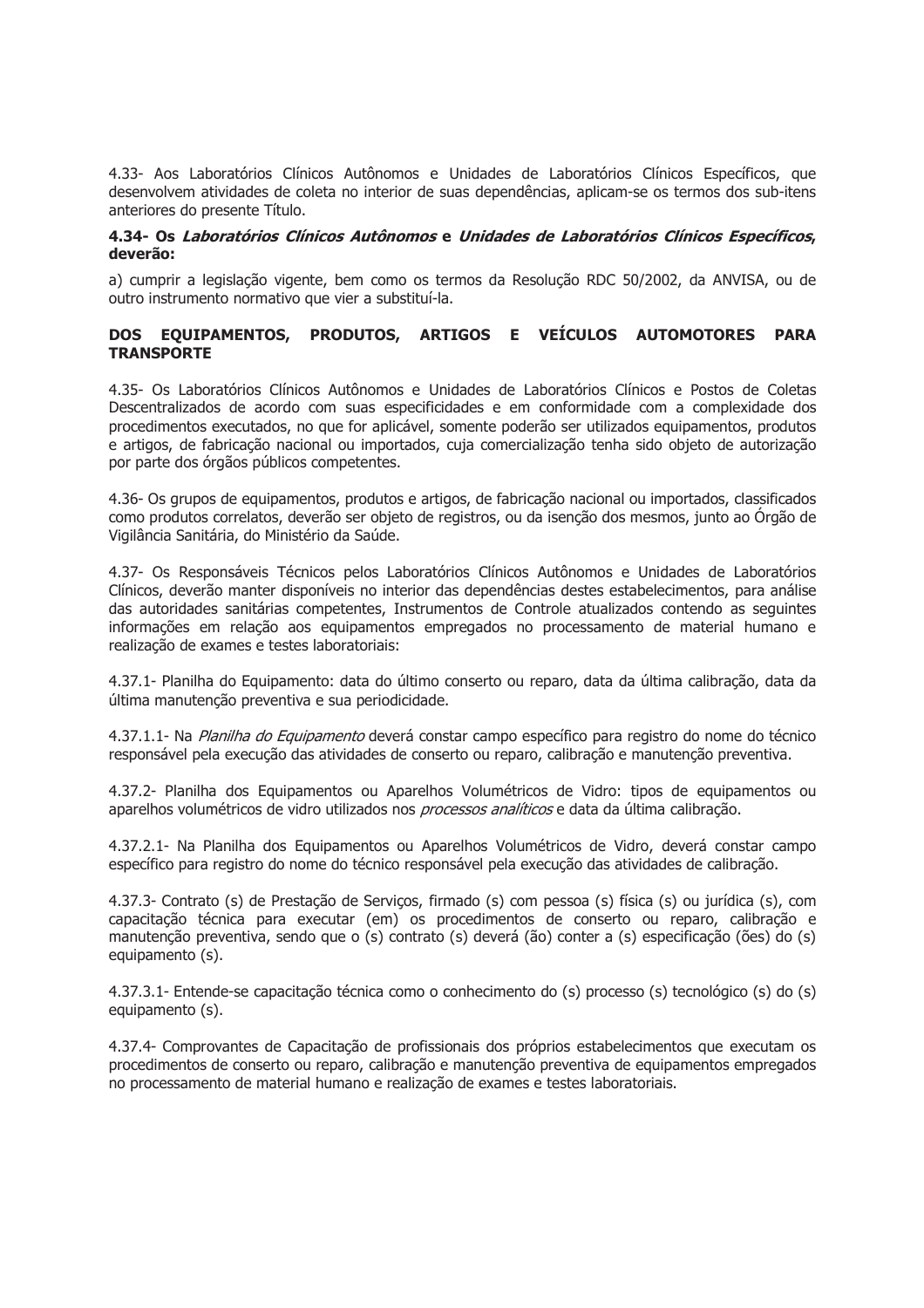4.33- Aos Laboratórios Clínicos Autônomos e Unidades de Laboratórios Clínicos Específicos, que desenvolvem atividades de coleta no interior de suas dependências, aplicam-se os termos dos sub-itens anteriores do presente Título.

## 4.34- Os Laboratórios Clínicos Autônomos e Unidades de Laboratórios Clínicos Específicos, deverão:

a) cumprir a legislação vigente, bem como os termos da Resolução RDC 50/2002, da ANVISA, ou de outro instrumento normativo que vier a substituí-la.

# DOS EQUIPAMENTOS, PRODUTOS, ARTIGOS E VEÍCULOS AUTOMOTORES PARA **TRANSPORTE**

4.35- Os Laboratórios Clínicos Autônomos e Unidades de Laboratórios Clínicos e Postos de Coletas Descentralizados de acordo com suas especificidades e em conformidade com a complexidade dos procedimentos executados, no que for aplicável, somente poderão ser utilizados equipamentos, produtos e artigos, de fabricação nacional ou importados, cuja comercialização tenha sido objeto de autorização por parte dos órgãos públicos competentes.

4.36- Os grupos de equipamentos, produtos e artigos, de fabricação nacional ou importados, classificados como produtos correlatos, deverão ser objeto de registros, ou da isenção dos mesmos, junto ao Órgão de Vigilância Sanitária, do Ministério da Saúde.

4.37- Os Responsáveis Técnicos pelos Laboratórios Clínicos Autônomos e Unidades de Laboratórios Clínicos, deverão manter disponíveis no interior das dependências destes estabelecimentos, para análise das autoridades sanitárias competentes, Instrumentos de Controle atualizados contendo as sequintes informações em relação aos equipamentos empregados no processamento de material humano e realização de exames e testes laboratoriais:

4.37.1- Planilha do Equipamento: data do último conserto ou reparo, data da última calibração, data da última manutenção preventiva e sua periodicidade.

4.37.1.1- Na Planilha do Equipamento deverá constar campo específico para registro do nome do técnico responsável pela execução das atividades de conserto ou reparo, calibração e manutenção preventiva.

4.37.2- Planilha dos Equipamentos ou Aparelhos Volumétricos de Vidro: tipos de equipamentos ou aparelhos volumétricos de vidro utilizados nos *processos analíticos* e data da última calibração.

4.37.2.1- Na Planilha dos Equipamentos ou Aparelhos Volumétricos de Vidro, deverá constar campo específico para registro do nome do técnico responsável pela execução das atividades de calibração.

4.37.3- Contrato (s) de Prestação de Serviços, firmado (s) com pessoa (s) física (s) ou jurídica (s), com capacitação técnica para executar (em) os procedimentos de conserto ou reparo, calibração e manutenção preventiva, sendo que o (s) contrato (s) deverá (ão) conter a (s) especificação (ões) do (s) equipamento (s).

4.37.3.1- Entende-se capacitação técnica como o conhecimento do (s) processo (s) tecnológico (s) do (s) equipamento (s).

4.37.4- Comprovantes de Capacitação de profissionais dos próprios estabelecimentos que executam os procedimentos de conserto ou reparo, calibração e manutenção preventiva de equipamentos empregados no processamento de material humano e realização de exames e testes laboratoriais.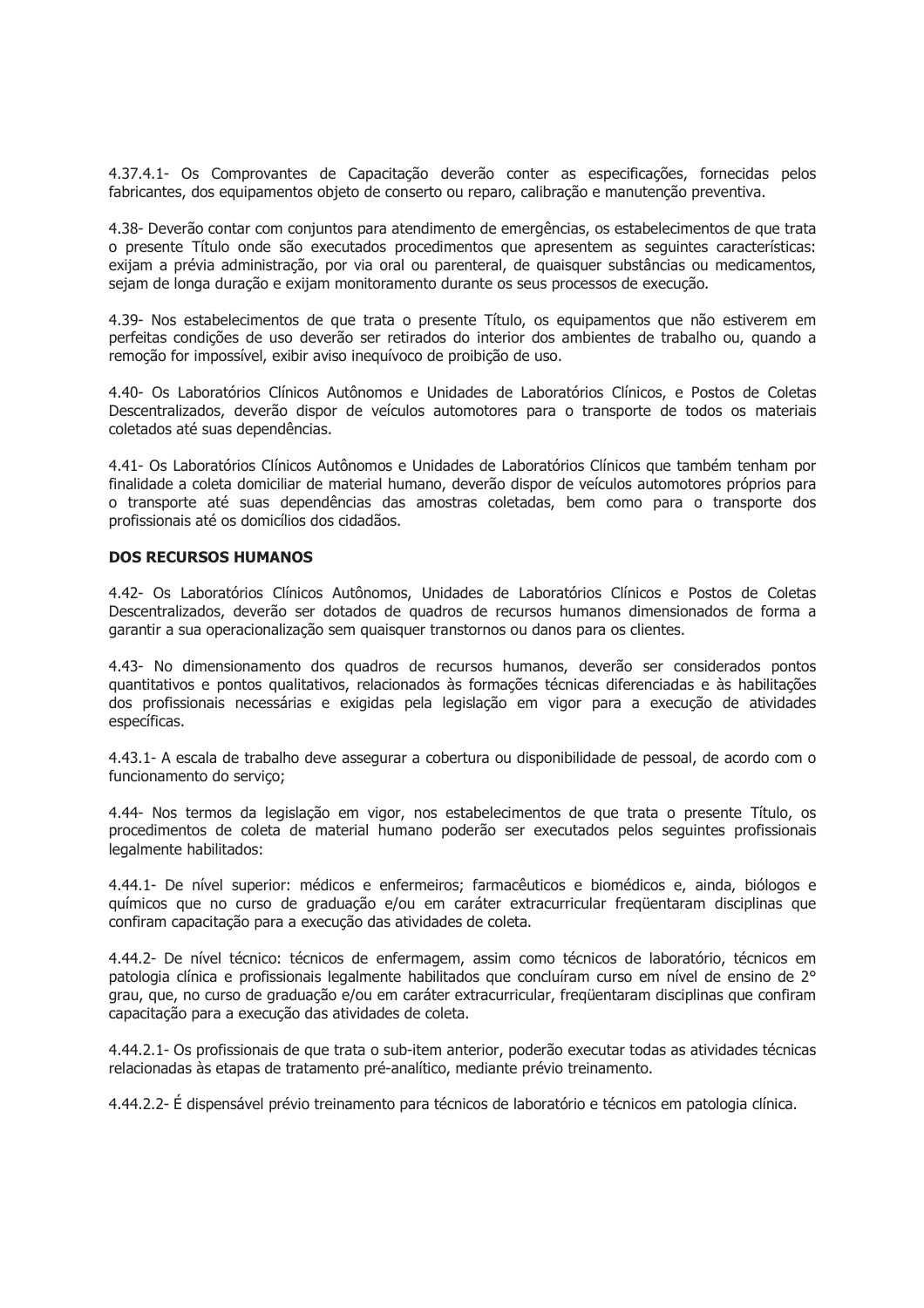4.37.4.1- Os Comprovantes de Capacitação deverão conter as especificações, fornecidas pelos fabricantes, dos equipamentos objeto de conserto ou reparo, calibração e manutenção preventiva.

4.38- Deverão contar com conjuntos para atendimento de emergências, os estabelecimentos de que trata o presente Título onde são executados procedimentos que apresentem as seguintes características: exijam a prévia administração, por via oral ou parenteral, de quaisquer substâncias ou medicamentos, sejam de longa duração e exijam monitoramento durante os seus processos de execução.

4.39- Nos estabelecimentos de que trata o presente Título, os equipamentos que não estiverem em perfeitas condições de uso deverão ser retirados do interior dos ambientes de trabalho ou, quando a remoção for impossível, exibir aviso inequívoco de proibição de uso.

4.40- Os Laboratórios Clínicos Autônomos e Unidades de Laboratórios Clínicos, e Postos de Coletas Descentralizados, deverão dispor de veículos automotores para o transporte de todos os materiais coletados até suas dependências.

4.41- Os Laboratórios Clínicos Autônomos e Unidades de Laboratórios Clínicos que também tenham por finalidade a coleta domiciliar de material humano, deverão dispor de veículos automotores próprios para o transporte até suas dependências das amostras coletadas, bem como para o transporte dos profissionais até os domicílios dos cidadãos.

## **DOS RECURSOS HUMANOS**

4.42- Os Laboratórios Clínicos Autônomos, Unidades de Laboratórios Clínicos e Postos de Coletas Descentralizados, deverão ser dotados de quadros de recursos humanos dimensionados de forma a garantir a sua operacionalização sem quaisquer transtornos ou danos para os clientes.

4.43- No dimensionamento dos quadros de recursos humanos, deverão ser considerados pontos quantitativos e pontos qualitativos, relacionados às formações técnicas diferenciadas e às habilitações dos profissionais necessárias e exigidas pela legislação em vigor para a execução de atividades específicas.

4.43.1- A escala de trabalho deve assegurar a cobertura ou disponibilidade de pessoal, de acordo com o funcionamento do servico:

4.44- Nos termos da legislação em vigor, nos estabelecimentos de que trata o presente Título, os procedimentos de coleta de material humano poderão ser executados pelos sequintes profissionais legalmente habilitados:

4.44.1- De nível superior: médicos e enfermeiros; farmacêuticos e biomédicos e, ainda, biólogos e guímicos que no curso de graduação e/ou em caráter extracurricular fregüentaram disciplinas que confiram capacitação para a execução das atividades de coleta.

4.44.2- De nível técnico: técnicos de enfermagem, assim como técnicos de laboratório, técnicos em patologia clínica e profissionais legalmente habilitados que concluíram curso em nível de ensino de 2° grau, que, no curso de graduação e/ou em caráter extracurricular, freqüentaram disciplinas que confiram capacitação para a execução das atividades de coleta.

4.44.2.1- Os profissionais de que trata o sub-item anterior, poderão executar todas as atividades técnicas relacionadas às etapas de tratamento pré-analítico, mediante prévio treinamento.

4.44.2.2- É dispensável prévio treinamento para técnicos de laboratório e técnicos em patologia clínica.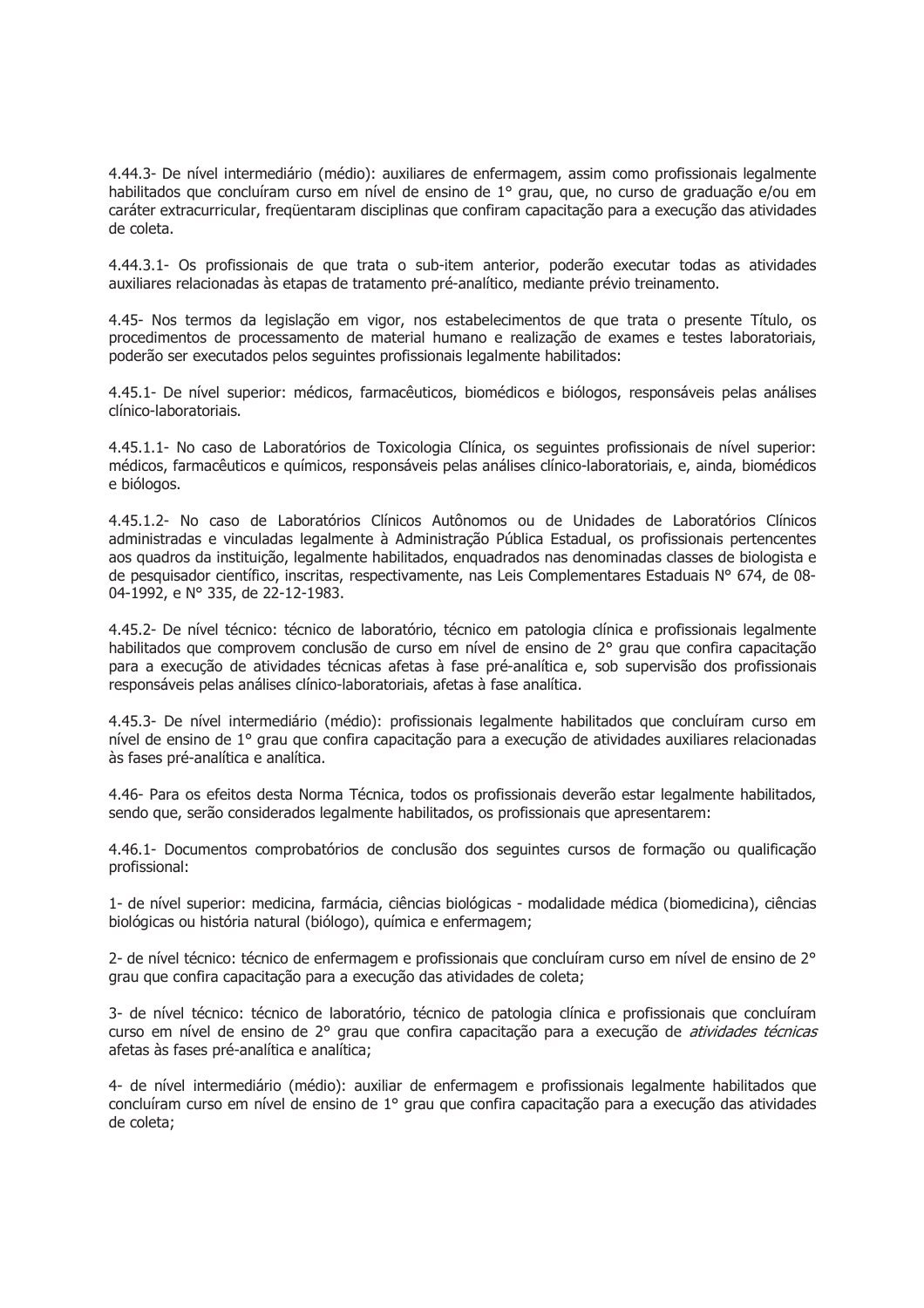4.44.3- De nível intermediário (médio): auxiliares de enfermagem, assim como profissionais legalmente habilitados que concluíram curso em nível de ensino de 1º grau, que, no curso de graduação e/ou em caráter extracurricular, freqüentaram disciplinas que confiram capacitação para a execução das atividades de coleta.

4.44.3.1- Os profissionais de que trata o sub-item anterior, poderão executar todas as atividades auxiliares relacionadas às etapas de tratamento pré-analítico, mediante prévio treinamento.

4.45- Nos termos da legislação em vigor, nos estabelecimentos de que trata o presente Título, os procedimentos de processamento de material humano e realização de exames e testes laboratoriais, poderão ser executados pelos seguintes profissionais legalmente habilitados:

4.45.1- De nível superior: médicos, farmacêuticos, biomédicos e biólogos, responsáveis pelas análises clínico-laboratoriais.

4.45.1.1- No caso de Laboratórios de Toxicologia Clínica, os seguintes profissionais de nível superior: médicos, farmacêuticos e químicos, responsáveis pelas análises clínico-laboratoriais, e, ainda, biomédicos e biólogos.

4.45.1.2- No caso de Laboratórios Clínicos Autônomos ou de Unidades de Laboratórios Clínicos administradas e vinculadas legalmente à Administração Pública Estadual, os profissionais pertencentes aos quadros da instituição, legalmente habilitados, enguadrados nas denominadas classes de biologista e de pesquisador científico, inscritas, respectivamente, nas Leis Complementares Estaduais Nº 674, de 08-04-1992, e Nº 335, de 22-12-1983.

4.45.2- De nível técnico: técnico de laboratório, técnico em patologia clínica e profissionais legalmente habilitados que comprovem conclusão de curso em nível de ensino de 2º grau que confira capacitação para a execução de atividades técnicas afetas à fase pré-analítica e, sob supervisão dos profissionais responsáveis pelas análises clínico-laboratoriais, afetas à fase analítica.

4.45.3- De nível intermediário (médio): profissionais legalmente habilitados que concluíram curso em nível de ensino de 1º grau que confira capacitação para a execução de atividades auxiliares relacionadas às fases pré-analítica e analítica.

4.46- Para os efeitos desta Norma Técnica, todos os profissionais deverão estar legalmente habilitados, sendo que, serão considerados legalmente habilitados, os profissionais que apresentarem:

4.46.1- Documentos comprobatórios de conclusão dos seguintes cursos de formação ou qualificação profissional:

1- de nível superior: medicina, farmácia, ciências biológicas - modalidade médica (biomedicina), ciências biológicas ou história natural (biólogo), química e enfermagem;

2- de nível técnico: técnico de enfermagem e profissionais que concluíram curso em nível de ensino de 2° grau que confira capacitação para a execução das atividades de coleta;

3- de nível técnico: técnico de laboratório, técnico de patologia clínica e profissionais que concluíram curso em nível de ensino de 2º grau que confira capacitação para a execução de atividades técnicas afetas às fases pré-analítica e analítica;

4- de nível intermediário (médio); auxiliar de enfermagem e profissionais legalmente habilitados que concluíram curso em nível de ensino de 1º grau que confira capacitação para a execução das atividades de coleta: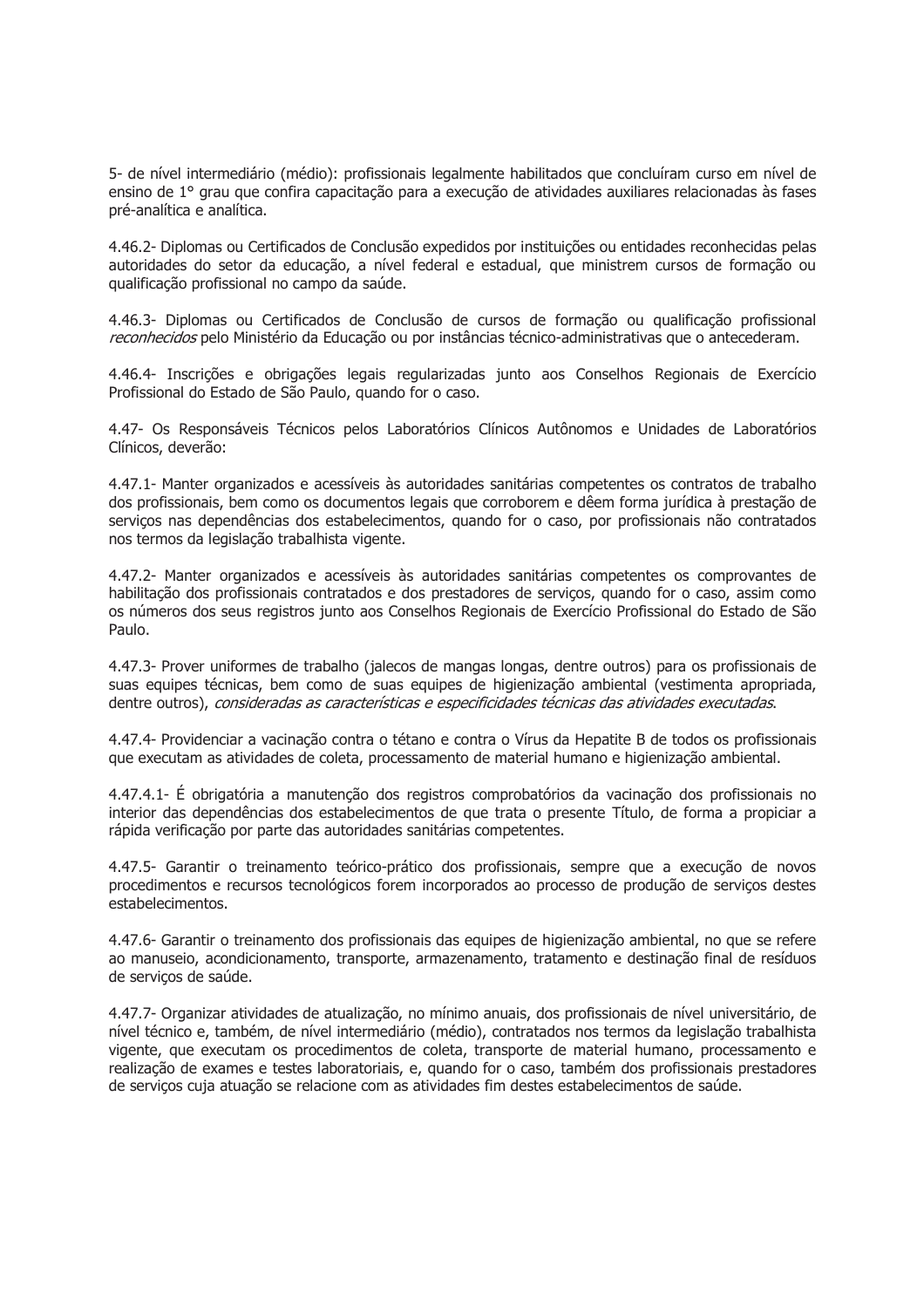5- de nível intermediário (médio): profissionais legalmente habilitados que concluíram curso em nível de ensino de 1º grau que confira capacitação para a execução de atividades auxiliares relacionadas às fases pré-analítica e analítica.

4.46.2- Diplomas ou Certificados de Conclusão expedidos por instituições ou entidades reconhecidas pelas autoridades do setor da educação, a nível federal e estadual, que ministrem cursos de formação ou qualificação profissional no campo da saúde.

4.46.3- Diplomas ou Certificados de Conclusão de cursos de formação ou qualificação profissional reconhecidos pelo Ministério da Educação ou por instâncias técnico-administrativas que o antecederam.

4.46.4- Inscrições e obrigações legais regularizadas junto aos Conselhos Regionais de Exercício Profissional do Estado de São Paulo, quando for o caso.

4.47- Os Responsáveis Técnicos pelos Laboratórios Clínicos Autônomos e Unidades de Laboratórios Clínicos, deverão:

4.47.1- Manter organizados e acessíveis às autoridades sanitárias competentes os contratos de trabalho dos profissionais, bem como os documentos legais que corroborem e dêem forma jurídica à prestação de serviços nas dependências dos estabelecimentos, quando for o caso, por profissionais não contratados nos termos da legislação trabalhista vigente.

4.47.2- Manter organizados e acessíveis às autoridades sanitárias competentes os comprovantes de habilitação dos profissionais contratados e dos prestadores de servicos, quando for o caso, assim como os números dos seus registros junto aos Conselhos Regionais de Exercício Profissional do Estado de São Paulo.

4.47.3- Prover uniformes de trabalho (jalecos de mangas longas, dentre outros) para os profissionais de suas equipes técnicas, bem como de suas equipes de higienização ambiental (vestimenta apropriada, dentre outros), consideradas as características e especificidades técnicas das atividades executadas.

4.47.4- Providenciar a vacinação contra o tétano e contra o Vírus da Hepatite B de todos os profissionais que executam as atividades de coleta, processamento de material humano e higienização ambiental.

4.47.4.1- É obrigatória a manutenção dos registros comprobatórios da vacinação dos profissionais no interior das dependências dos estabelecimentos de que trata o presente Título, de forma a propiciar a rápida verificação por parte das autoridades sanitárias competentes.

4.47.5- Garantir o treinamento teórico-prático dos profissionais, sempre que a execução de novos procedimentos e recursos tecnológicos forem incorporados ao processo de produção de servicos destes estabelecimentos.

4.47.6- Garantir o treinamento dos profissionais das equipes de higienização ambiental, no que se refere ao manuseio, acondicionamento, transporte, armazenamento, tratamento e destinação final de resíduos de servicos de saúde.

4.47.7- Organizar atividades de atualização, no mínimo anuais, dos profissionais de nível universitário, de nível técnico e, também, de nível intermediário (médio), contratados nos termos da legislação trabalhista vigente, que executam os procedimentos de coleta, transporte de material humano, processamento e realização de exames e testes laboratoriais, e, quando for o caso, também dos profissionais prestadores de servicos cuja atuação se relacione com as atividades fim destes estabelecimentos de saúde.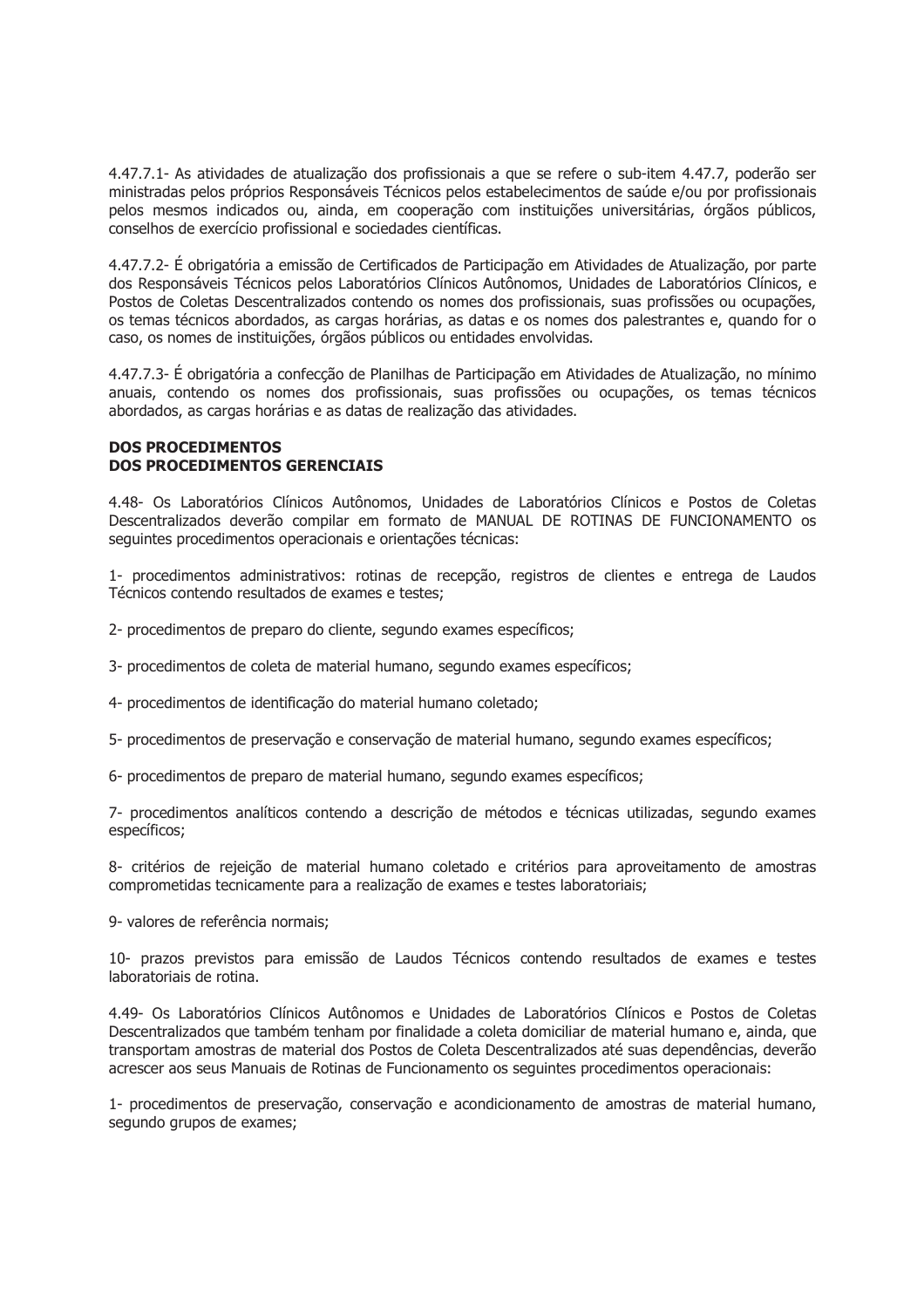4.47.7.1- As atividades de atualização dos profissionais a que se refere o sub-item 4.47.7, poderão ser ministradas pelos próprios Responsáveis Técnicos pelos estabelecimentos de saúde e/ou por profissionais pelos mesmos indicados ou, ainda, em cooperação com instituições universitárias, órgãos públicos, conselhos de exercício profissional e sociedades científicas.

4.47.7.2- É obrigatória a emissão de Certificados de Participação em Atividades de Atualização, por parte dos Responsáveis Técnicos pelos Laboratórios Clínicos Autônomos. Unidades de Laboratórios Clínicos, e Postos de Coletas Descentralizados contendo os nomes dos profissionais, suas profissões ou ocupações, os temas técnicos abordados, as cargas horárias, as datas e os nomes dos palestrantes e, quando for o caso, os nomes de instituições, órgãos públicos ou entidades envolvidas.

4.47.7.3- É obrigatória a confecção de Planilhas de Participação em Atividades de Atualização, no mínimo anuais, contendo os nomes dos profissionais, suas profissões ou ocupações, os temas técnicos abordados, as cargas horárias e as datas de realização das atividades.

### **DOS PROCEDIMENTOS DOS PROCEDIMENTOS GERENCIAIS**

4.48- Os Laboratórios Clínicos Autônomos, Unidades de Laboratórios Clínicos e Postos de Coletas Descentralizados deverão compilar em formato de MANUAL DE ROTINAS DE FUNCIONAMENTO os sequintes procedimentos operacionais e orientações técnicas:

1- procedimentos administrativos: rotinas de recepção, registros de clientes e entrega de Laudos Técnicos contendo resultados de exames e testes:

2- procedimentos de preparo do cliente, segundo exames específicos;

3- procedimentos de coleta de material humano, segundo exames específicos;

4- procedimentos de identificação do material humano coletado;

5- procedimentos de preservação e conservação de material humano, segundo exames específicos;

6- procedimentos de preparo de material humano, segundo exames específicos;

7- procedimentos analíticos contendo a descrição de métodos e técnicas utilizadas, segundo exames específicos;

8- critérios de rejeição de material humano coletado e critérios para aproveitamento de amostras comprometidas tecnicamente para a realização de exames e testes laboratoriais;

9- valores de referência normais;

10- prazos previstos para emissão de Laudos Técnicos contendo resultados de exames e testes laboratoriais de rotina.

4.49- Os Laboratórios Clínicos Autônomos e Unidades de Laboratórios Clínicos e Postos de Coletas Descentralizados que também tenham por finalidade a coleta domiciliar de material humano e, ainda, que transportam amostras de material dos Postos de Coleta Descentralizados até suas dependências, deverão acrescer aos seus Manuais de Rotinas de Funcionamento os seguintes procedimentos operacionais:

1- procedimentos de preservação, conservação e acondicionamento de amostras de material humano, segundo grupos de exames;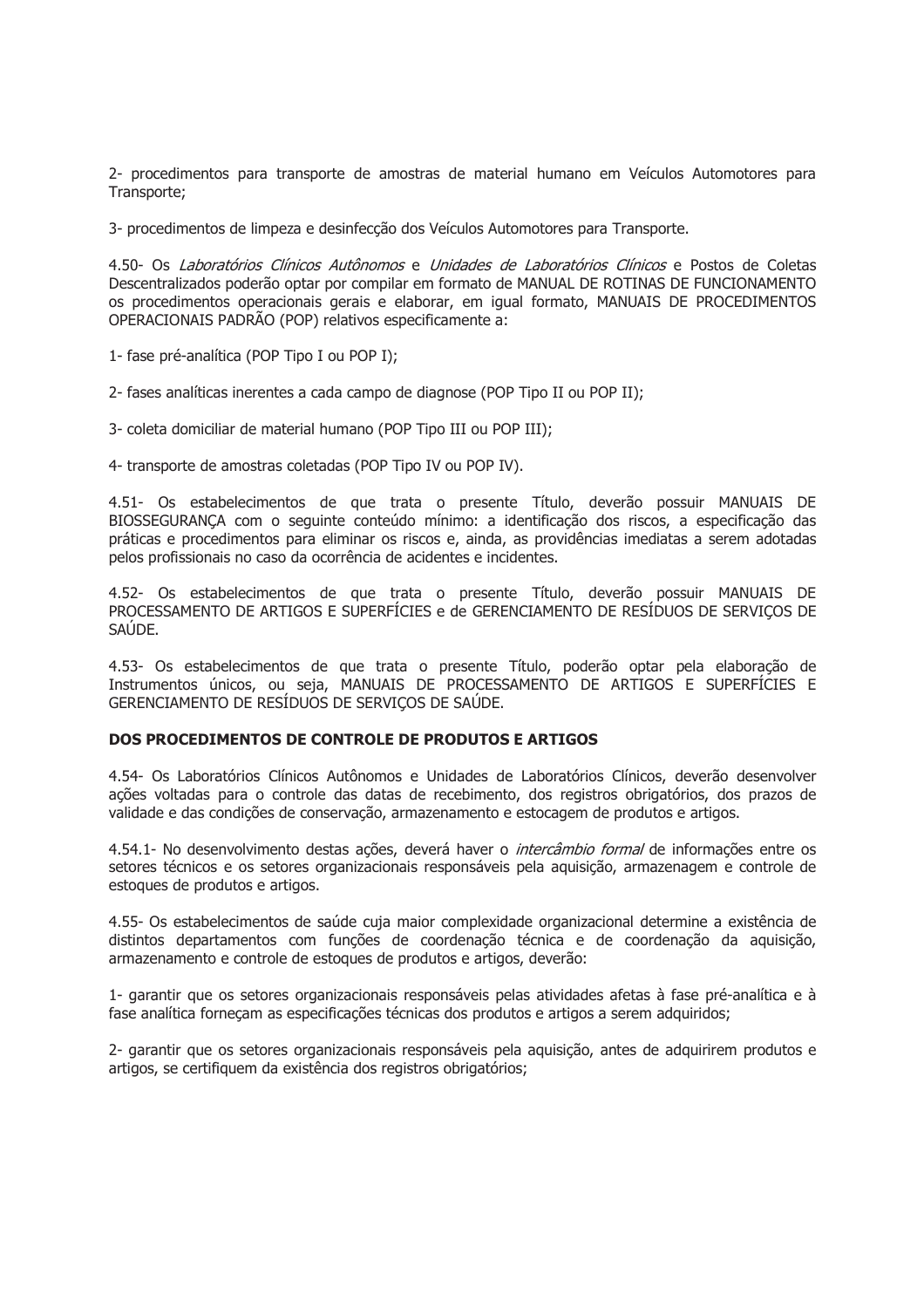2- procedimentos para transporte de amostras de material humano em Veículos Automotores para Transporte:

3- procedimentos de limpeza e desinfecção dos Veículos Automotores para Transporte.

4.50- Os Laboratórios Clínicos Autônomos e Unidades de Laboratórios Clínicos e Postos de Coletas Descentralizados poderão optar por compilar em formato de MANUAL DE ROTINAS DE FUNCIONAMENTO os procedimentos operacionais gerais e elaborar, em igual formato, MANUAIS DE PROCEDIMENTOS OPERACIONAIS PADRÃO (POP) relativos especificamente a:

1- fase pré-analítica (POP Tipo I ou POP I);

2- fases analíticas inerentes a cada campo de diagnose (POP Tipo II ou POP II);

3- coleta domiciliar de material humano (POP Tipo III ou POP III);

4- transporte de amostras coletadas (POP Tipo IV ou POP IV).

4.51- Os estabelecimentos de que trata o presente Título, deverão possuir MANUAIS DE BIOSSEGURANÇA com o sequinte conteúdo mínimo: a identificação dos riscos, a especificação das práticas e procedimentos para eliminar os riscos e, ainda, as providências imediatas a serem adotadas pelos profissionais no caso da ocorrência de acidentes e incidentes.

4.52- Os estabelecimentos de que trata o presente Título, deverão possuir MANUAIS DE PROCESSAMENTO DE ARTIGOS E SUPERFÍCIES e de GERENCIAMENTO DE RESÍDUOS DE SERVICOS DE SAÚDE.

4.53- Os estabelecimentos de que trata o presente Título, poderão optar pela elaboração de Instrumentos únicos, ou seja, MANUAIS DE PROCESSAMENTO DE ARTIGOS E SUPERFÍCIES E GERENCIAMENTO DE RESÍDUOS DE SERVIÇOS DE SAÚDE.

# DOS PROCEDIMENTOS DE CONTROLE DE PRODUTOS E ARTIGOS

4.54- Os Laboratórios Clínicos Autônomos e Unidades de Laboratórios Clínicos, deverão desenvolver ações voltadas para o controle das datas de recebimento, dos registros obrigatórios, dos prazos de validade e das condições de conservação, armazenamento e estocagem de produtos e artigos.

4.54.1- No desenvolvimento destas ações, deverá haver o *intercâmbio formal* de informações entre os setores técnicos e os setores organizacionais responsáveis pela aguisição, armazenagem e controle de estoques de produtos e artigos.

4.55- Os estabelecimentos de saúde cuja maior complexidade organizacional determine a existência de distintos departamentos com funções de coordenação técnica e de coordenação da aquisição, armazenamento e controle de estoques de produtos e artigos, deverão:

1- garantir que os setores organizacionais responsáveis pelas atividades afetas à fase pré-analítica e à fase analítica forneçam as especificações técnicas dos produtos e artigos a serem adquiridos;

2- garantir que os setores organizacionais responsáveis pela aquisição, antes de adquirirem produtos e artigos, se certifiquem da existência dos registros obrigatórios;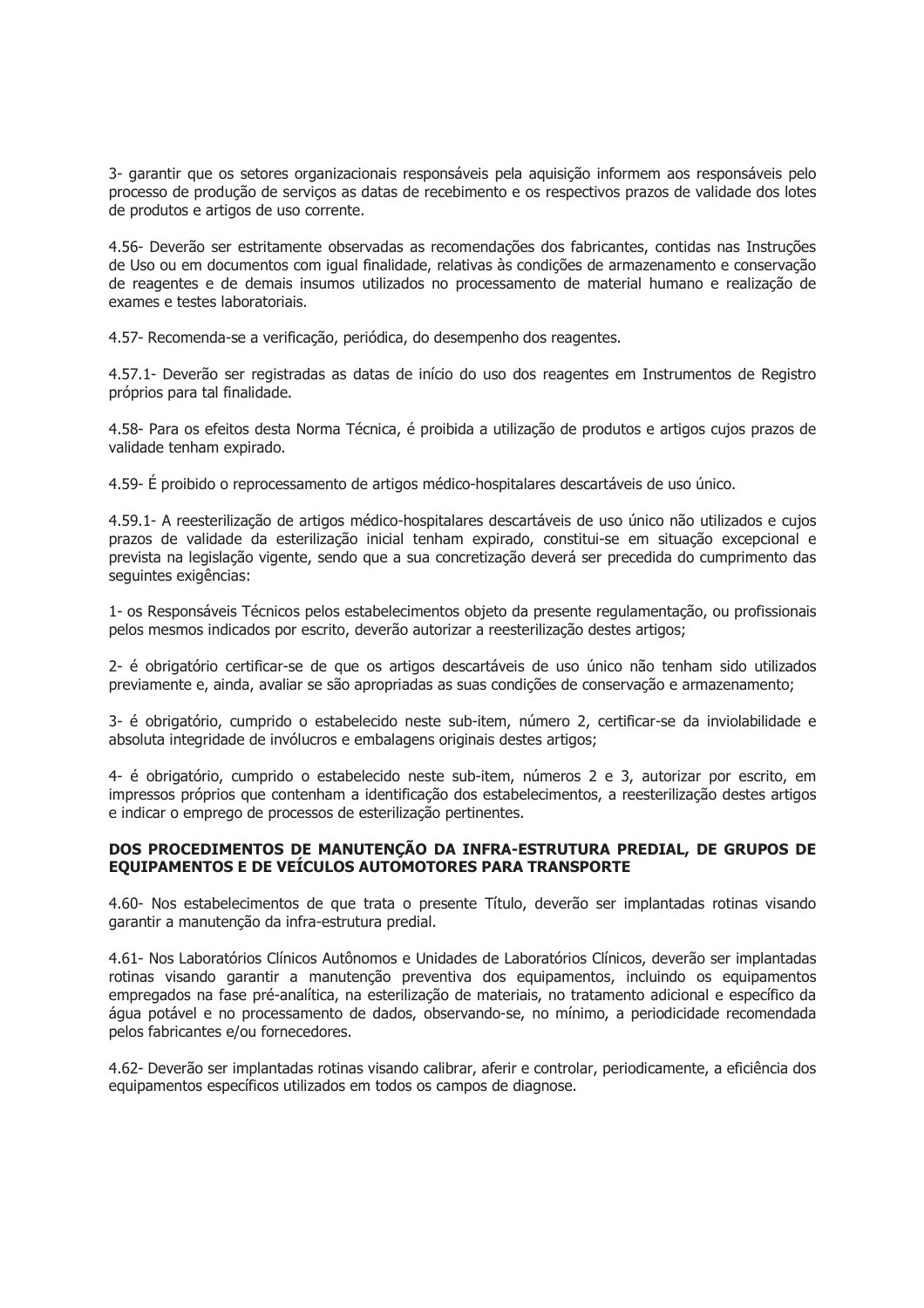3- garantir que os setores organizacionais responsáveis pela aquisição informem aos responsáveis pelo processo de produção de serviços as datas de recebimento e os respectivos prazos de validade dos lotes de produtos e artigos de uso corrente.

4.56- Deverão ser estritamente observadas as recomendações dos fabricantes, contidas nas Instruções de Uso ou em documentos com igual finalidade, relativas às condições de armazenamento e conservação de reagentes e de demais insumos utilizados no processamento de material humano e realização de exames e testes laboratoriais.

4.57- Recomenda-se a verificação, periódica, do desempenho dos reagentes.

4.57.1- Deverão ser registradas as datas de início do uso dos reagentes em Instrumentos de Registro próprios para tal finalidade.

4.58- Para os efeitos desta Norma Técnica, é proibida a utilização de produtos e artigos cujos prazos de validade tenham expirado.

4.59- É proibido o reprocessamento de artigos médico-hospitalares descartáveis de uso único.

4.59.1- A reesterilização de artigos médico-hospitalares descartáveis de uso único não utilizados e cujos prazos de validade da esterilização inicial tenham expirado, constitui-se em situação excepcional e prevista na legislação vigente, sendo que a sua concretização deverá ser precedida do cumprimento das sequintes exigências:

1- os Responsáveis Técnicos pelos estabelecimentos objeto da presente regulamentação, ou profissionais pelos mesmos indicados por escrito, deverão autorizar a reesterilização destes artigos;

2- é obrigatório certificar-se de que os artigos descartáveis de uso único não tenham sido utilizados previamente e, ainda, avaliar se são apropriadas as suas condições de conservação e armazenamento;

3- é obrigatório, cumprido o estabelecido neste sub-item, número 2, certificar-se da inviolabilidade e absoluta integridade de invólucros e embalagens originais destes artigos;

4- é obrigatório, cumprido o estabelecido neste sub-item, números 2 e 3, autorizar por escrito, em impressos próprios que contenham a identificação dos estabelecimentos, a reesterilização destes artigos e indicar o emprego de processos de esterilização pertinentes.

## DOS PROCEDIMENTOS DE MANUTENÇÃO DA INFRA-ESTRUTURA PREDIAL, DE GRUPOS DE EOUIPAMENTOS E DE VEÍCULOS AUTOMOTORES PARA TRANSPORTE

4.60- Nos estabelecimentos de que trata o presente Título, deverão ser implantadas rotinas visando garantir a manutenção da infra-estrutura predial.

4.61- Nos Laboratórios Clínicos Autônomos e Unidades de Laboratórios Clínicos, deverão ser implantadas rotinas visando garantir a manutenção preventiva dos equipamentos, incluindo os equipamentos empregados na fase pré-analítica, na esterilização de materiais, no tratamento adicional e específico da água potável e no processamento de dados, observando-se, no mínimo, a periodicidade recomendada pelos fabricantes e/ou fornecedores.

4.62- Deverão ser implantadas rotinas visando calibrar, aferir e controlar, periodicamente, a eficiência dos equipamentos específicos utilizados em todos os campos de diagnose.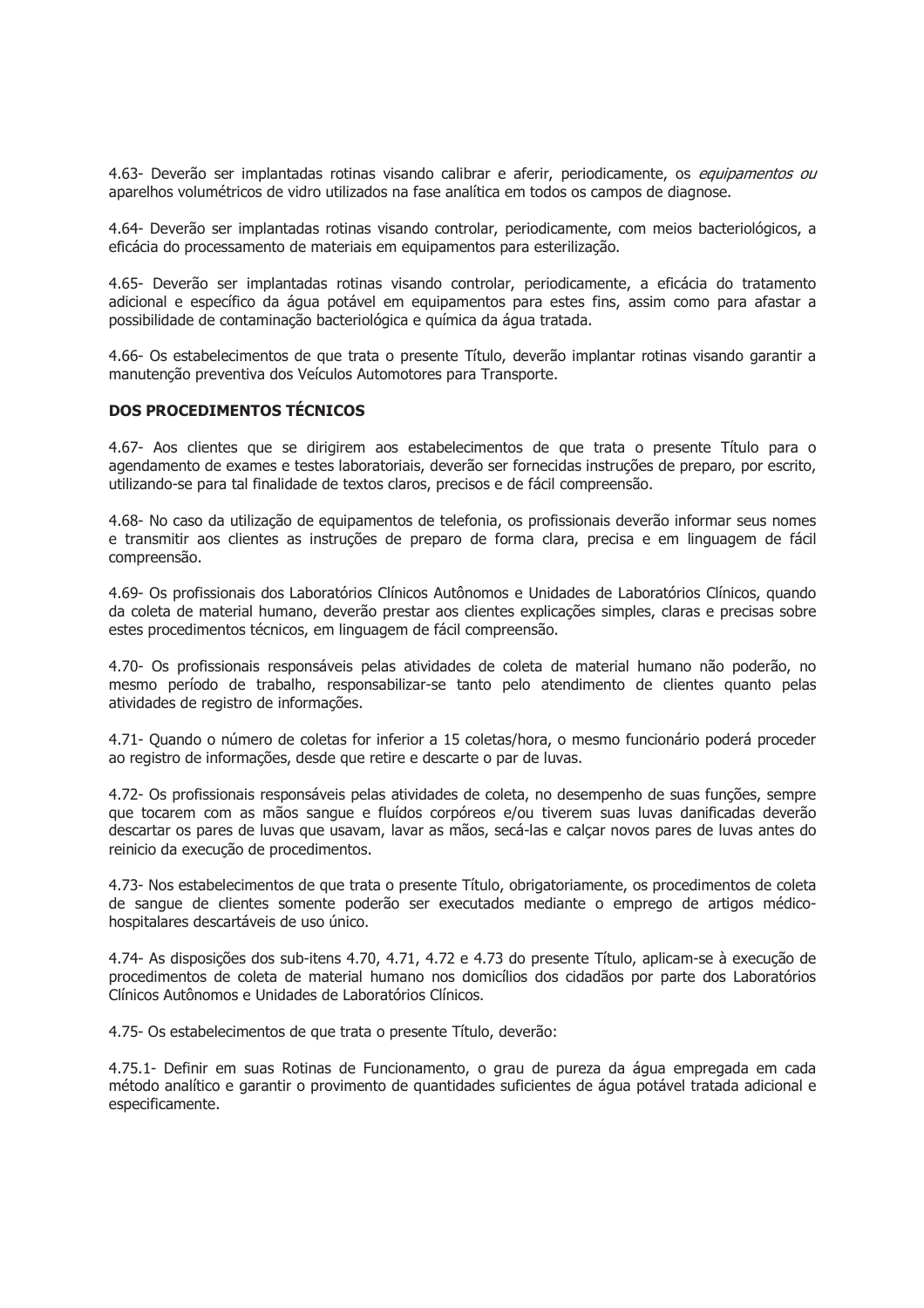4.63- Deverão ser implantadas rotinas visando calibrar e aferir, periodicamente, os equipamentos ou aparelhos volumétricos de vidro utilizados na fase analítica em todos os campos de diagnose.

4.64- Deverão ser implantadas rotinas visando controlar, periodicamente, com meios bacteriológicos, a eficácia do processamento de materiais em equipamentos para esterilização.

4.65- Deverão ser implantadas rotinas visando controlar, periodicamente, a eficácia do tratamento adicional e específico da água potável em equipamentos para estes fins, assim como para afastar a possibilidade de contaminação bacteriológica e química da água tratada.

4.66- Os estabelecimentos de que trata o presente Título, deverão implantar rotinas visando garantir a manutenção preventiva dos Veículos Automotores para Transporte.

#### **DOS PROCEDIMENTOS TÉCNICOS**

4.67- Aos clientes que se dirigirem aos estabelecimentos de que trata o presente Título para o agendamento de exames e testes laboratoriais, deverão ser fornecidas instruções de preparo, por escrito, utilizando-se para tal finalidade de textos claros, precisos e de fácil compreensão.

4.68- No caso da utilização de equipamentos de telefonia, os profissionais deverão informar seus nomes e transmitir aos clientes as instruções de preparo de forma clara, precisa e em linguagem de fácil compreensão.

4.69- Os profissionais dos Laboratórios Clínicos Autônomos e Unidades de Laboratórios Clínicos, quando da coleta de material humano, deverão prestar aos clientes explicações simples, claras e precisas sobre estes procedimentos técnicos, em linguagem de fácil compreensão.

4.70- Os profissionais responsáveis pelas atividades de coleta de material humano não poderão, no mesmo período de trabalho, responsabilizar-se tanto pelo atendimento de clientes quanto pelas atividades de registro de informações.

4.71- Quando o número de coletas for inferior a 15 coletas/hora, o mesmo funcionário poderá proceder ao registro de informações, desde que retire e descarte o par de Juvas.

4.72- Os profissionais responsáveis pelas atividades de coleta, no desempenho de suas funções, sempre que tocarem com as mãos sangue e fluídos corpóreos e/ou tiverem suas luvas danificadas deverão descartar os pares de luvas que usavam, lavar as mãos, secá-las e calcar novos pares de luvas antes do reinicio da execução de procedimentos.

4.73- Nos estabelecimentos de que trata o presente Título, obrigatoriamente, os procedimentos de coleta de sangue de clientes somente poderão ser executados mediante o emprego de artigos médicohospitalares descartáveis de uso único.

4.74- As disposições dos sub-itens 4.70, 4.71, 4.72 e 4.73 do presente Título, aplicam-se à execução de procedimentos de coleta de material humano nos domicílios dos cidadãos por parte dos Laboratórios Clínicos Autônomos e Unidades de Laboratórios Clínicos.

4.75- Os estabelecimentos de que trata o presente Título, deverão:

4.75.1- Definir em suas Rotinas de Funcionamento, o grau de pureza da água empregada em cada método analítico e garantir o provimento de guantidades suficientes de água potável tratada adicional e especificamente.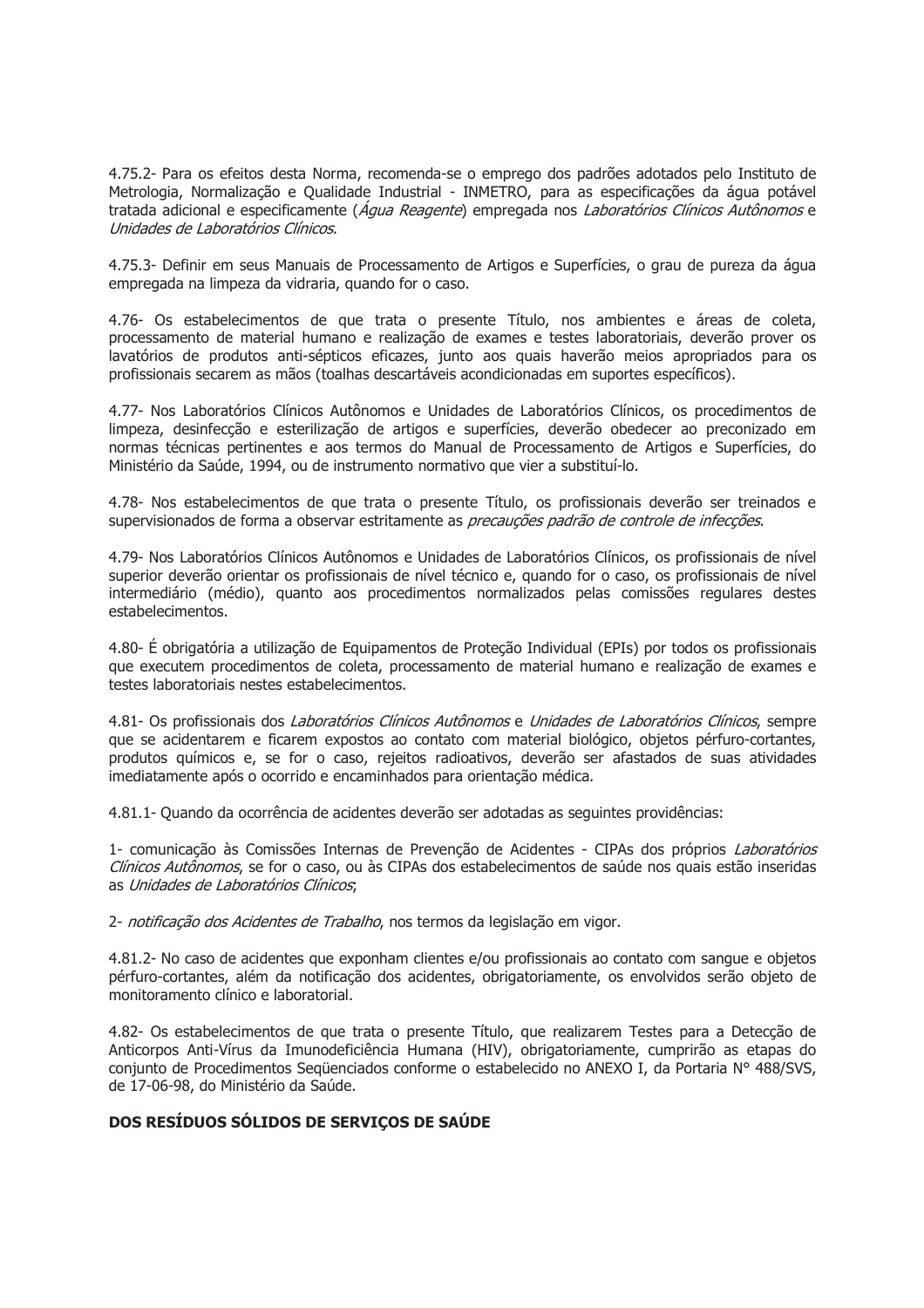4.75.2- Para os efeitos desta Norma, recomenda-se o emprego dos padrões adotados pelo Instituto de Metrologia, Normalização e Qualidade Industrial - INMETRO, para as especificações da água potável tratada adicional e especificamente (Água Reagente) empregada nos Laboratórios Clínicos Autônomos e Unidades de Laboratórios Clínicos.

4.75.3- Definir em seus Manuais de Processamento de Artigos e Superfícies, o grau de pureza da água empregada na limpeza da vidraria, guando for o caso.

4.76- Os estabelecimentos de que trata o presente Título, nos ambientes e áreas de coleta, processamento de material humano e realização de exames e testes laboratoriais, deverão prover os lavatórios de produtos anti-sépticos eficazes, junto aos quais haverão meios apropriados para os profissionais secarem as mãos (toalhas descartáveis acondicionadas em suportes específicos).

4.77- Nos Laboratórios Clínicos Autônomos e Unidades de Laboratórios Clínicos, os procedimentos de limpeza, desinfecção e esterilização de artigos e superfícies, deverão obedecer ao preconizado em normas técnicas pertinentes e aos termos do Manual de Processamento de Artigos e Superfícies, do Ministério da Saúde, 1994, ou de instrumento normativo que vier a substituí-lo.

4.78- Nos estabelecimentos de que trata o presente Título, os profissionais deverão ser treinados e supervisionados de forma a observar estritamente as precauções padrão de controle de infecções.

4.79- Nos Laboratórios Clínicos Autônomos e Unidades de Laboratórios Clínicos, os profissionais de nível superior deverão orientar os profissionais de nível técnico e, quando for o caso, os profissionais de nível intermediário (médio), quanto aos procedimentos normalizados pelas comissões regulares destes estabelecimentos.

4.80- É obrigatória a utilização de Equipamentos de Proteção Individual (EPIs) por todos os profissionais que executem procedimentos de coleta, processamento de material humano e realização de exames e testes laboratoriais nestes estabelecimentos.

4.81- Os profissionais dos Laboratórios Clínicos Autônomos e Unidades de Laboratórios Clínicos, sempre que se acidentarem e ficarem expostos ao contato com material biológico, objetos pérfuro-cortantes, produtos químicos e, se for o caso, rejeitos radioativos, deverão ser afastados de suas atividades imediatamente após o ocorrido e encaminhados para orientação médica.

4.81.1- Ouando da ocorrência de acidentes deverão ser adotadas as seguintes providências:

1- comunicação às Comissões Internas de Prevenção de Acidentes - CIPAs dos próprios Laboratórios Clínicos Autônomos, se for o caso, ou às CIPAs dos estabelecimentos de saúde nos quais estão inseridas as Unidades de Laboratórios Clínicos.

2- notificação dos Acidentes de Trabalho, nos termos da legislação em vigor.

4.81.2- No caso de acidentes que exponham clientes e/ou profissionais ao contato com sangue e objetos pérfuro-cortantes, além da notificação dos acidentes, obrigatoriamente, os envolvidos serão objeto de monitoramento clínico e laboratorial.

4.82- Os estabelecimentos de que trata o presente Título, que realizarem Testes para a Detecção de Anticorpos Anti-Vírus da Imunodeficiência Humana (HIV), obrigatoriamente, cumprirão as etapas do conjunto de Procedimentos Seqüenciados conforme o estabelecido no ANEXO I, da Portaria Nº 488/SVS, de 17-06-98, do Ministério da Saúde.

# DOS RESÍDUOS SÓLIDOS DE SERVIÇOS DE SAÚDE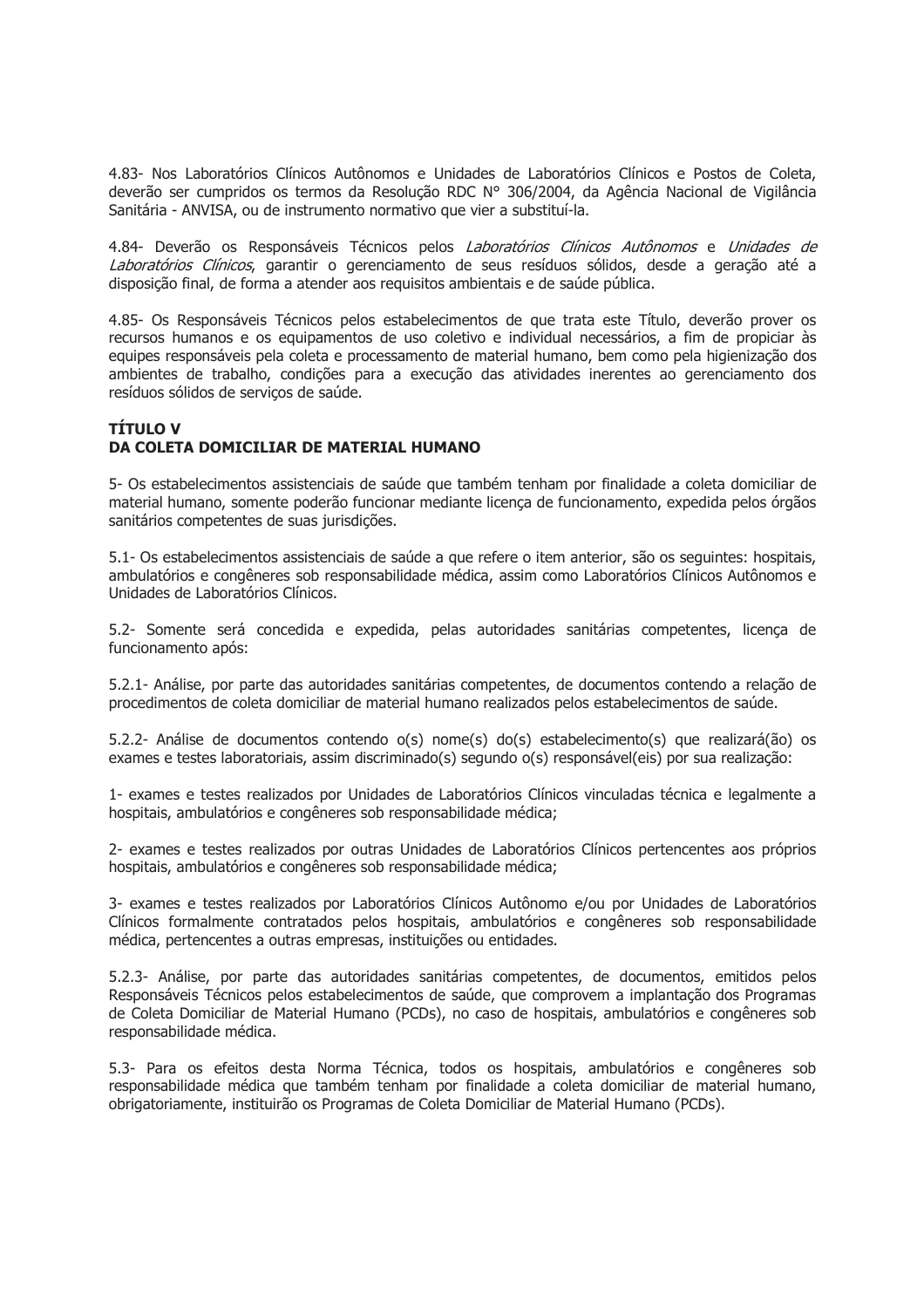4.83- Nos Laboratórios Clínicos Autônomos e Unidades de Laboratórios Clínicos e Postos de Coleta, deverão ser cumpridos os termos da Resolução RDC Nº 306/2004, da Agência Nacional de Vigilância Sanitária - ANVISA, ou de instrumento normativo que vier a substituí-la.

4.84- Deverão os Responsáveis Técnicos pelos Laboratórios Clínicos Autônomos e Unidades de Laboratórios Clínicos, garantir o gerenciamento de seus resíduos sólidos, desde a geração até a disposição final, de forma a atender aos requisitos ambientais e de saúde pública.

4.85- Os Responsáveis Técnicos pelos estabelecimentos de que trata este Título, deverão prover os recursos humanos e os equipamentos de uso coletivo e individual necessários, a fim de propiciar às equipes responsáveis pela coleta e processamento de material humano, bem como pela higienização dos ambientes de trabalho, condições para a execução das atividades inerentes ao gerenciamento dos resíduos sólidos de serviços de saúde.

# **TÍTULO V** DA COLETA DOMICILIAR DE MATERIAL HUMANO

5- Os estabelecimentos assistenciais de saúde que também tenham por finalidade a coleta domiciliar de material humano, somente poderão funcionar mediante licenca de funcionamento, expedida pelos órgãos sanitários competentes de suas jurisdições.

5.1- Os estabelecimentos assistenciais de saúde a que refere o item anterior, são os sequintes: hospitais, ambulatórios e congêneres sob responsabilidade médica, assim como Laboratórios Clínicos Autônomos e Unidades de Laboratórios Clínicos.

5.2- Somente será concedida e expedida, pelas autoridades sanitárias competentes, licença de funcionamento após:

5.2.1- Análise, por parte das autoridades sanitárias competentes, de documentos contendo a relação de procedimentos de coleta domiciliar de material humano realizados pelos estabelecimentos de saúde.

5.2.2- Análise de documentos contendo o(s) nome(s) do(s) estabelecimento(s) que realizará(ão) os exames e testes laboratoriais, assim discriminado(s) segundo o(s) responsável(eis) por sua realização;

1- exames e testes realizados por Unidades de Laboratórios Clínicos vinculadas técnica e legalmente a hospitais, ambulatórios e congêneres sob responsabilidade médica;

2- exames e testes realizados por outras Unidades de Laboratórios Clínicos pertencentes aos próprios hospitais, ambulatórios e congêneres sob responsabilidade médica;

3- exames e testes realizados por Laboratórios Clínicos Autônomo e/ou por Unidades de Laboratórios Clínicos formalmente contratados pelos hospitais, ambulatórios e congêneres sob responsabilidade médica, pertencentes a outras empresas, instituições ou entidades.

5.2.3- Análise, por parte das autoridades sanitárias competentes, de documentos, emitidos pelos Responsáveis Técnicos pelos estabelecimentos de saúde, que comprovem a implantação dos Programas de Coleta Domiciliar de Material Humano (PCDs), no caso de hospitais, ambulatórios e congêneres sob responsabilidade médica.

5.3- Para os efeitos desta Norma Técnica, todos os hospitais, ambulatórios e congêneres sob responsabilidade médica que também tenham por finalidade a coleta domiciliar de material humano, obrigatoriamente, instituirão os Programas de Coleta Domiciliar de Material Humano (PCDs).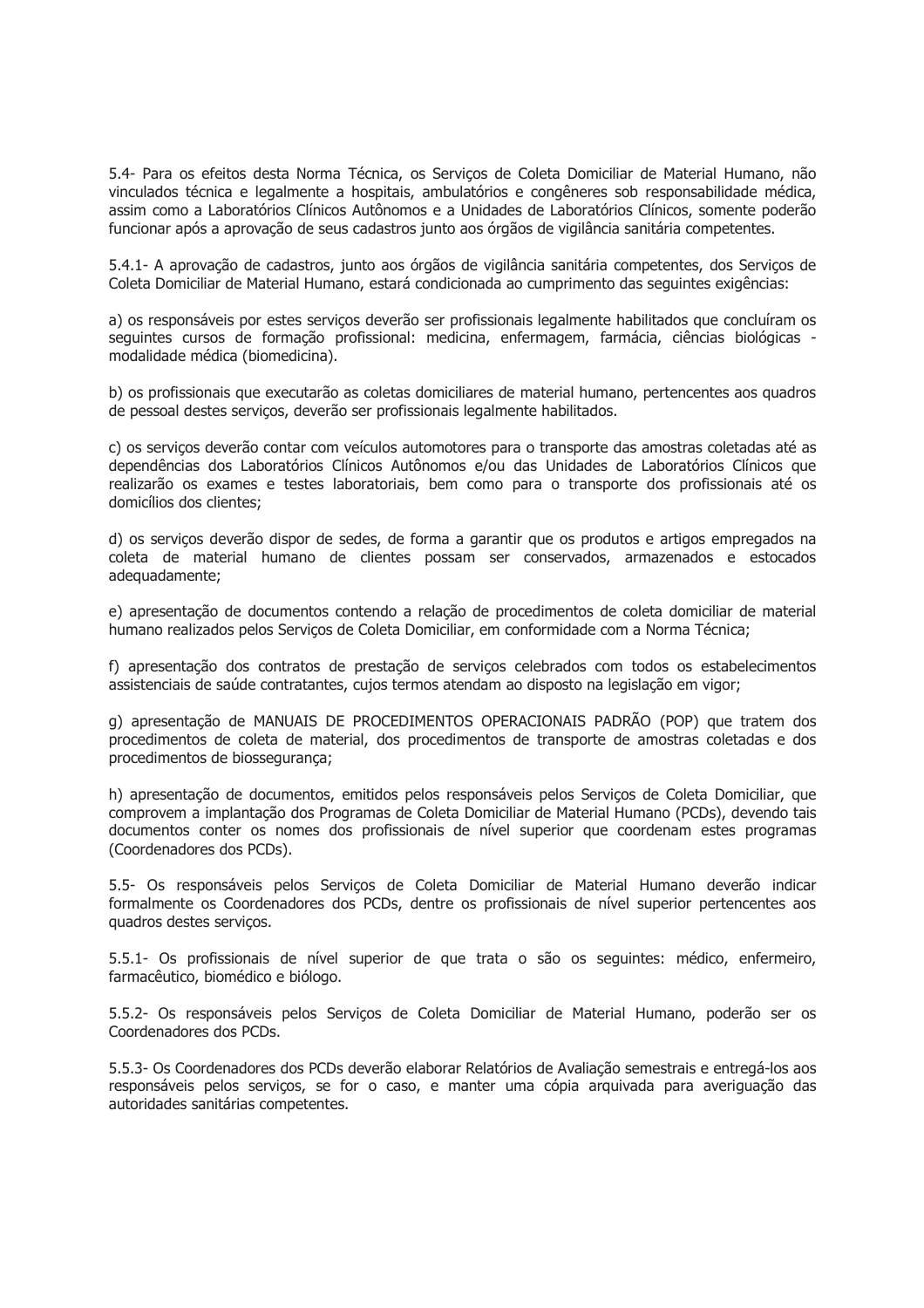5.4- Para os efeitos desta Norma Técnica, os Serviços de Coleta Domiciliar de Material Humano, não vinculados técnica e legalmente a hospitais, ambulatórios e congêneres sob responsabilidade médica, assim como a Laboratórios Clínicos Autônomos e a Unidades de Laboratórios Clínicos, somente poderão funcionar após a aprovação de seus cadastros junto aos órgãos de vigilância sanitária competentes.

5.4.1- A aprovação de cadastros, junto aos órgãos de vigilância sanitária competentes, dos Servicos de Coleta Domiciliar de Material Humano, estará condicionada ao cumprimento das sequintes exigências:

a) os responsáveis por estes servicos deverão ser profissionais legalmente habilitados que concluíram os sequintes cursos de formação profissional: medicina, enfermagem, farmácia, ciências biológicas modalidade médica (biomedicina).

b) os profissionais que executarão as coletas domiciliares de material humano, pertencentes aos quadros de pessoal destes serviços, deverão ser profissionais legalmente habilitados.

c) os serviços deverão contar com veículos automotores para o transporte das amostras coletadas até as dependências dos Laboratórios Clínicos Autônomos e/ou das Unidades de Laboratórios Clínicos que realizarão os exames e testes laboratoriais, bem como para o transporte dos profissionais até os domicílios dos clientes;

d) os servicos deverão dispor de sedes, de forma a garantir que os produtos e artigos empregados na coleta de material humano de clientes possam ser conservados, armazenados e estocados adequadamente:

e) apresentação de documentos contendo a relação de procedimentos de coleta domiciliar de material humano realizados pelos Serviços de Coleta Domiciliar, em conformidade com a Norma Técnica;

f) apresentação dos contratos de prestação de serviços celebrados com todos os estabelecimentos assistenciais de saúde contratantes, cujos termos atendam ao disposto na legislação em vigor;

g) apresentação de MANUAIS DE PROCEDIMENTOS OPERACIONAIS PADRÃO (POP) que tratem dos procedimentos de coleta de material, dos procedimentos de transporte de amostras coletadas e dos procedimentos de biossegurança:

h) apresentação de documentos, emitidos pelos responsáveis pelos Serviços de Coleta Domiciliar, que comprovem a implantação dos Programas de Coleta Domiciliar de Material Humano (PCDs), devendo tais documentos conter os nomes dos profissionais de nível superior que coordenam estes programas (Coordenadores dos PCDs).

5.5- Os responsáveis pelos Servicos de Coleta Domiciliar de Material Humano deverão indicar formalmente os Coordenadores dos PCDs, dentre os profissionais de nível superior pertencentes aos quadros destes servicos.

5.5.1- Os profissionais de nível superior de que trata o são os seguintes: médico, enfermeiro, farmacêutico, biomédico e biólogo.

5.5.2- Os responsáveis pelos Serviços de Coleta Domiciliar de Material Humano, poderão ser os Coordenadores dos PCDs.

5.5.3- Os Coordenadores dos PCDs deverão elaborar Relatórios de Avaliação semestrais e entregá-los aos responsáveis pelos servicos, se for o caso, e manter uma cópia arguivada para averiguação das autoridades sanitárias competentes.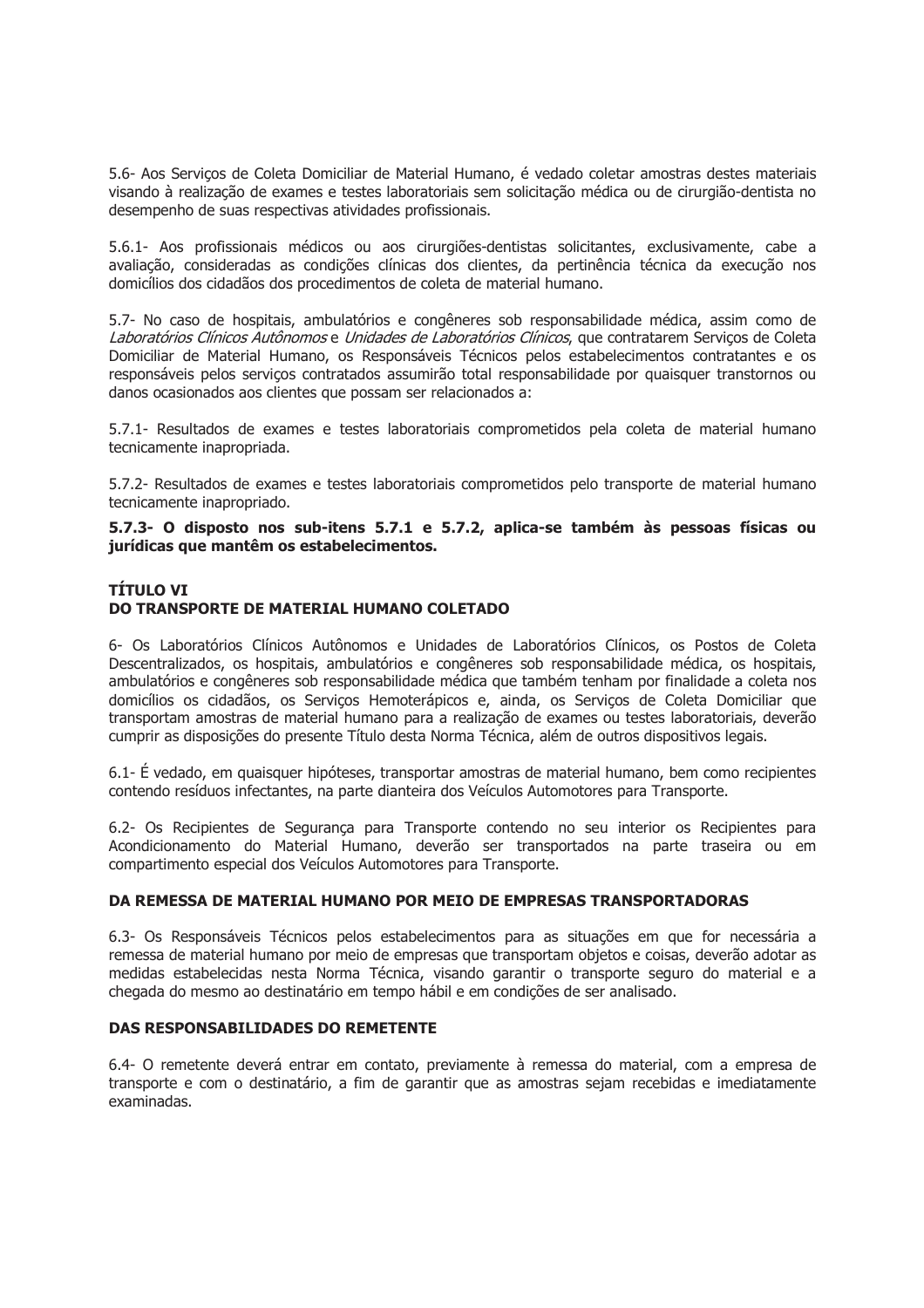5.6- Aos Serviços de Coleta Domiciliar de Material Humano, é vedado coletar amostras destes materiais visando à realização de exames e testes laboratoriais sem solicitação médica ou de cirurgião-dentista no desempenho de suas respectivas atividades profissionais.

5.6.1- Aos profissionais médicos ou aos cirurgiões-dentistas solicitantes, exclusivamente, cabe a avaliação, consideradas as condições clínicas dos clientes, da pertinência técnica da execução nos domicílios dos cidadãos dos procedimentos de coleta de material humano.

5.7- No caso de hospitais, ambulatórios e congêneres sob responsabilidade médica, assim como de Laboratórios Clínicos Autônomos e Unidades de Laboratórios Clínicos, que contratarem Servicos de Coleta Domiciliar de Material Humano, os Responsáveis Técnicos pelos estabelecimentos contratantes e os responsáveis pelos servicos contratados assumirão total responsabilidade por quaisquer transtornos ou danos ocasionados aos clientes que possam ser relacionados a:

5.7.1- Resultados de exames e testes laboratoriais comprometidos pela coleta de material humano tecnicamente inapropriada.

5.7.2- Resultados de exames e testes laboratoriais comprometidos pelo transporte de material humano tecnicamente inapropriado.

5.7.3- O disposto nos sub-itens 5.7.1 e 5.7.2, aplica-se também às pessoas físicas ou jurídicas que mantêm os estabelecimentos.

# **TÍTULO VI** DO TRANSPORTE DE MATERIAL HUMANO COLETADO

6- Os Laboratórios Clínicos Autônomos e Unidades de Laboratórios Clínicos, os Postos de Coleta Descentralizados, os hospitais, ambulatórios e congêneres sob responsabilidade médica, os hospitais, ambulatórios e congêneres sob responsabilidade médica que também tenham por finalidade a coleta nos domicílios os cidadãos, os Serviços Hemoterápicos e, ainda, os Serviços de Coleta Domiciliar que transportam amostras de material humano para a realização de exames ou testes laboratoriais, deverão cumprir as disposições do presente Título desta Norma Técnica, além de outros dispositivos legais.

6.1- É vedado, em quaisquer hipóteses, transportar amostras de material humano, bem como recipientes contendo resíduos infectantes, na parte dianteira dos Veículos Automotores para Transporte.

6.2- Os Recipientes de Seguranca para Transporte contendo no seu interior os Recipientes para Acondicionamento do Material Humano, deverão ser transportados na parte traseira ou em compartimento especial dos Veículos Automotores para Transporte.

# DA REMESSA DE MATERIAL HUMANO POR MEIO DE EMPRESAS TRANSPORTADORAS

6.3- Os Responsáveis Técnicos pelos estabelecimentos para as situações em que for necessária a remessa de material humano por meio de empresas que transportam objetos e coisas, deverão adotar as medidas estabelecidas nesta Norma Técnica, visando garantir o transporte seguro do material e a chegada do mesmo ao destinatário em tempo hábil e em condições de ser analisado.

# DAS RESPONSABILIDADES DO REMETENTE

6.4- O remetente deverá entrar em contato, previamente à remessa do material, com a empresa de transporte e com o destinatário, a fim de garantir que as amostras sejam recebidas e imediatamente examinadas.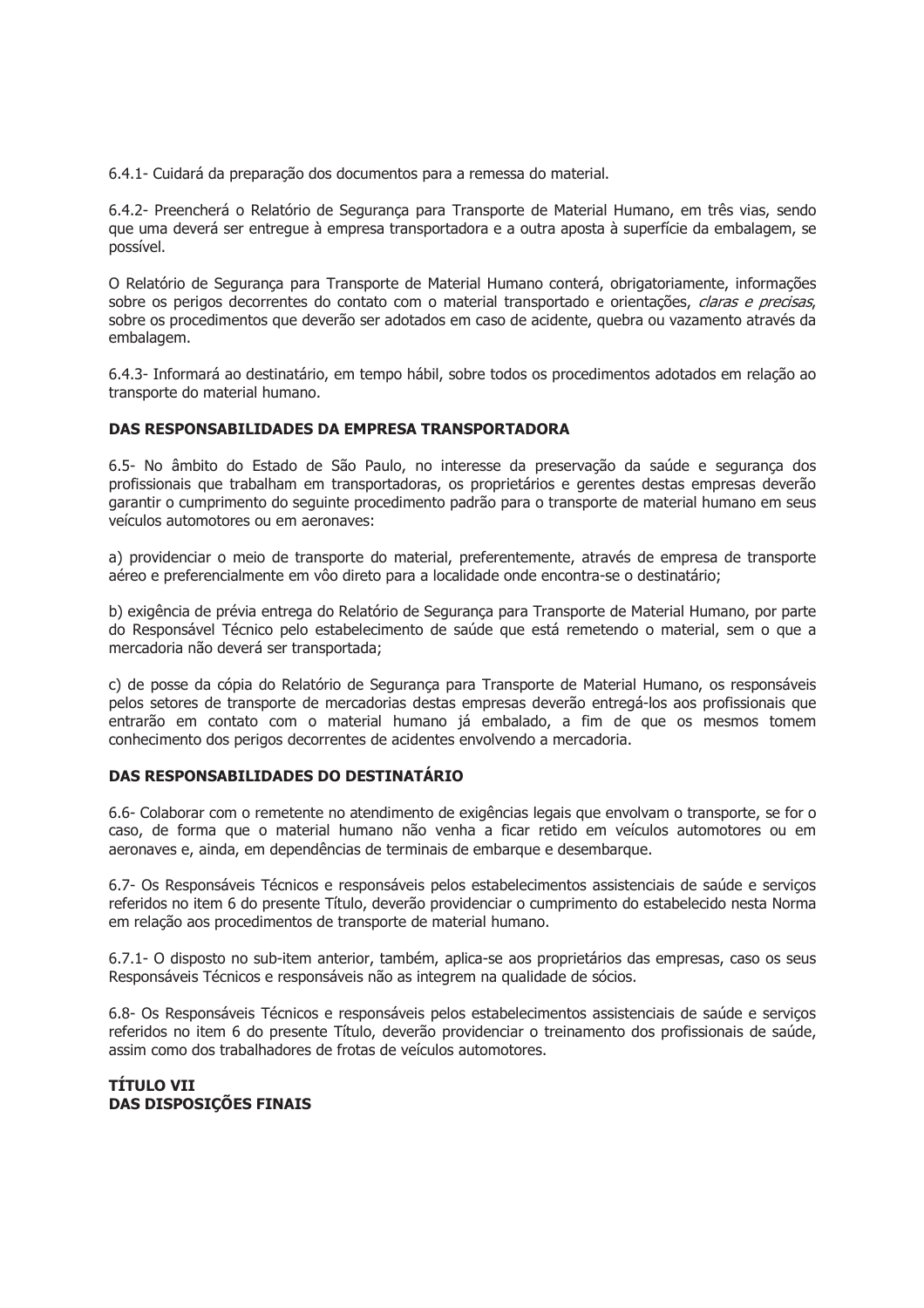6.4.1- Cuidará da preparação dos documentos para a remessa do material.

6.4.2- Preencherá o Relatório de Seguranca para Transporte de Material Humano, em três vias, sendo que uma deverá ser entregue à empresa transportadora e a outra aposta à superfície da embalagem, se possível.

O Relatório de Segurança para Transporte de Material Humano conterá, obrigatoriamente, informações sobre os perigos decorrentes do contato com o material transportado e orientações, claras e precisas, sobre os procedimentos que deverão ser adotados em caso de acidente, quebra ou vazamento através da embalagem.

6.4.3- Informará ao destinatário, em tempo hábil, sobre todos os procedimentos adotados em relação ao transporte do material humano.

## DAS RESPONSABILIDADES DA EMPRESA TRANSPORTADORA

6.5- No âmbito do Estado de São Paulo, no interesse da preservação da saúde e segurança dos profissionais que trabalham em transportadoras, os proprietários e gerentes destas empresas deverão garantir o cumprimento do seguinte procedimento padrão para o transporte de material humano em seus veículos automotores ou em aeronaves:

a) providenciar o meio de transporte do material, preferentemente, através de empresa de transporte aéreo e preferencialmente em vôo direto para a localidade onde encontra-se o destinatário;

b) exigência de prévia entrega do Relatório de Segurança para Transporte de Material Humano, por parte do Responsável Técnico pelo estabelecimento de saúde que está remetendo o material, sem o que a mercadoria não deverá ser transportada;

c) de posse da cópia do Relatório de Segurança para Transporte de Material Humano, os responsáveis pelos setores de transporte de mercadorias destas empresas deverão entregá-los aos profissionais que entrarão em contato com o material humano já embalado, a fim de que os mesmos tomem conhecimento dos perigos decorrentes de acidentes envolvendo a mercadoria.

#### DAS RESPONSABILIDADES DO DESTINATÁRIO

6.6- Colaborar com o remetente no atendimento de exigências legais que envolvam o transporte, se for o caso, de forma que o material humano não venha a ficar retido em veículos automotores ou em aeronaves e, ainda, em dependências de terminais de embarque e desembarque.

6.7- Os Responsáveis Técnicos e responsáveis pelos estabelecimentos assistenciais de saúde e servicos referidos no item 6 do presente Título, deverão providenciar o cumprimento do estabelecido nesta Norma em relação aos procedimentos de transporte de material humano.

6.7.1- O disposto no sub-item anterior, também, aplica-se aos proprietários das empresas, caso os seus Responsáveis Técnicos e responsáveis não as integrem na qualidade de sócios.

6.8- Os Responsáveis Técnicos e responsáveis pelos estabelecimentos assistenciais de saúde e serviços referidos no item 6 do presente Título, deverão providenciar o treinamento dos profissionais de saúde, assim como dos trabalhadores de frotas de veículos automotores.

TÍTULO VII **DAS DISPOSIÇÕES FINAIS**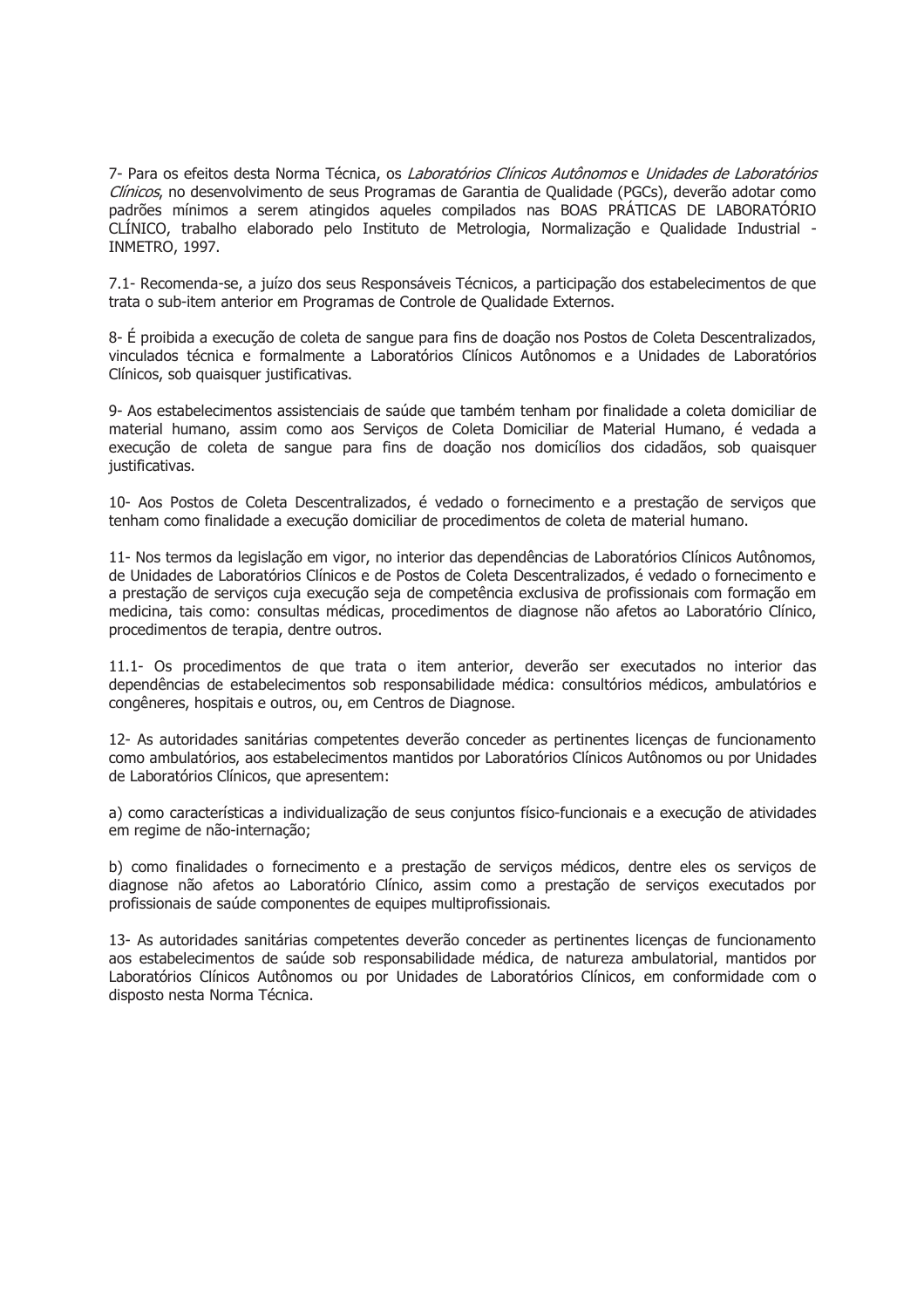7- Para os efeitos desta Norma Técnica, os Laboratórios Clínicos Autônomos e Unidades de Laboratórios Clínicos, no desenvolvimento de seus Programas de Garantia de Oualidade (PGCs), deverão adotar como padrões mínimos a serem atingidos aqueles compilados nas BOAS PRÁTICAS DE LABORATÓRIO CLÍNICO, trabalho elaborado pelo Instituto de Metrologia, Normalização e Qualidade Industrial -INMETRO, 1997.

7.1- Recomenda-se, a juízo dos seus Responsáveis Técnicos, a participação dos estabelecimentos de que trata o sub-item anterior em Programas de Controle de Qualidade Externos.

8- É proibida a execução de coleta de sangue para fins de doação nos Postos de Coleta Descentralizados, vinculados técnica e formalmente a Laboratórios Clínicos Autônomos e a Unidades de Laboratórios Clínicos, sob quaisquer justificativas.

9- Aos estabelecimentos assistenciais de saúde que também tenham por finalidade a coleta domiciliar de material humano, assim como aos Serviços de Coleta Domiciliar de Material Humano, é vedada a execução de coleta de sangue para fins de doação nos domicílios dos cidadãos, sob quaisquer justificativas.

10- Aos Postos de Coleta Descentralizados, é vedado o fornecimento e a prestação de serviços que tenham como finalidade a execução domiciliar de procedimentos de coleta de material humano.

11- Nos termos da legislação em vigor, no interior das dependências de Laboratórios Clínicos Autônomos, de Unidades de Laboratórios Clínicos e de Postos de Coleta Descentralizados, é vedado o fornecimento e a prestação de serviços cuja execução seja de competência exclusiva de profissionais com formação em medicina, tais como: consultas médicas, procedimentos de diagnose não afetos ao Laboratório Clínico, procedimentos de terapia, dentre outros.

11.1- Os procedimentos de que trata o item anterior, deverão ser executados no interior das dependências de estabelecimentos sob responsabilidade médica: consultórios médicos, ambulatórios e congêneres, hospitais e outros, ou, em Centros de Diagnose.

12- As autoridades sanitárias competentes deverão conceder as pertinentes licenças de funcionamento como ambulatórios, aos estabelecimentos mantidos por Laboratórios Clínicos Autônomos ou por Unidades de Laboratórios Clínicos, que apresentem:

a) como características a individualização de seus conjuntos físico-funcionais e a execução de atividades em regime de não-internação;

b) como finalidades o fornecimento e a prestação de servicos médicos, dentre eles os servicos de diagnose não afetos ao Laboratório Clínico, assim como a prestação de serviços executados por profissionais de saúde componentes de equipes multiprofissionais.

13- As autoridades sanitárias competentes deverão conceder as pertinentes licenças de funcionamento aos estabelecimentos de saúde sob responsabilidade médica, de natureza ambulatorial, mantidos por Laboratórios Clínicos Autônomos ou por Unidades de Laboratórios Clínicos, em conformidade com o disposto nesta Norma Técnica.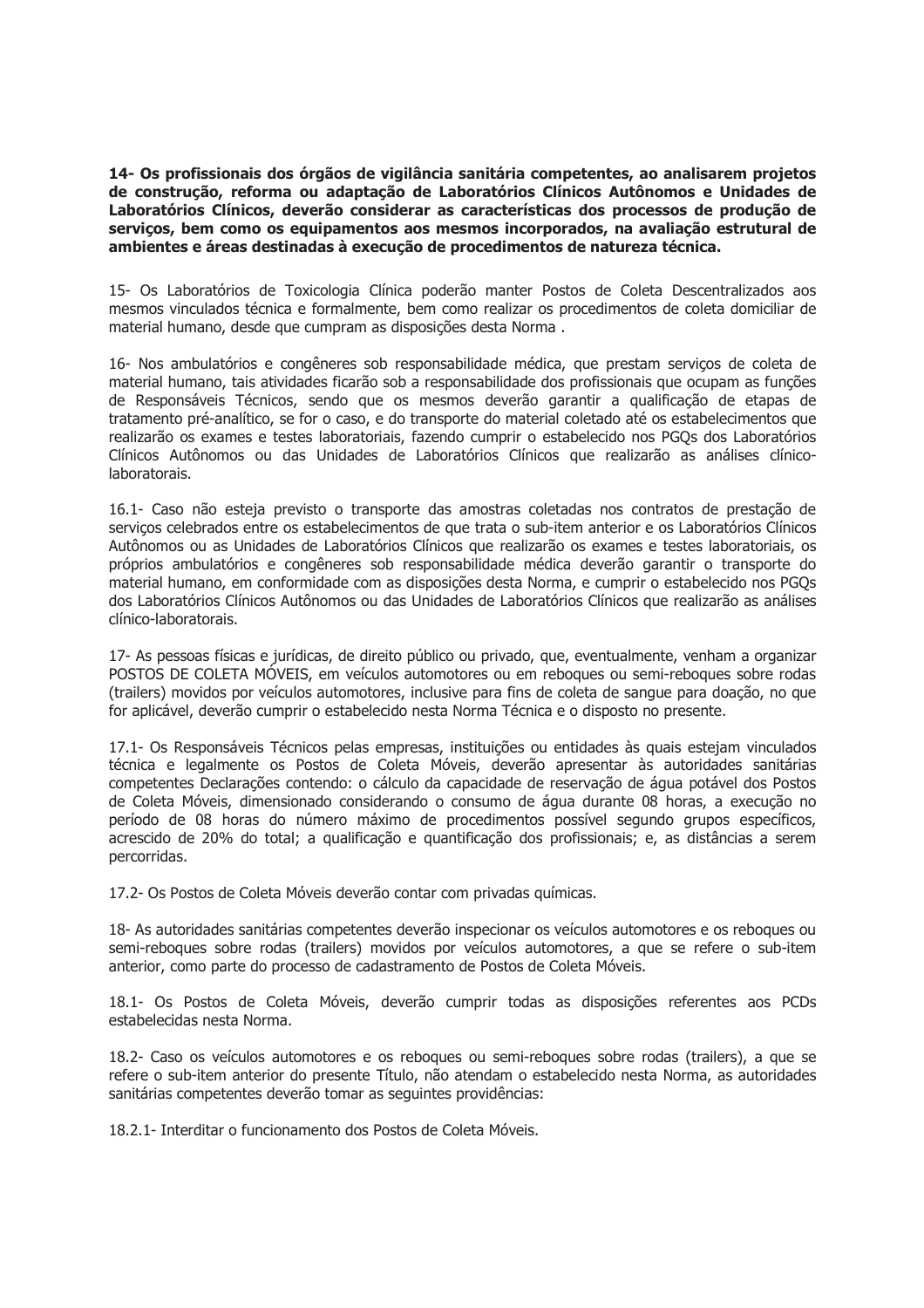14- Os profissionais dos órgãos de vigilância sanitária competentes, ao analisarem projetos de construção, reforma ou adaptação de Laboratórios Clínicos Autônomos e Unidades de Laboratórios Clínicos, deverão considerar as características dos processos de produção de serviços, bem como os equipamentos aos mesmos incorporados, na avaliação estrutural de ambientes e áreas destinadas à execução de procedimentos de natureza técnica.

15- Os Laboratórios de Toxicologia Clínica poderão manter Postos de Coleta Descentralizados aos mesmos vinculados técnica e formalmente, bem como realizar os procedimentos de coleta domiciliar de material humano, desde que cumpram as disposições desta Norma.

16- Nos ambulatórios e congêneres sob responsabilidade médica, que prestam serviços de coleta de material humano, tais atividades ficarão sob a responsabilidade dos profissionais que ocupam as funções de Responsáveis Técnicos, sendo que os mesmos deverão garantir a qualificação de etapas de tratamento pré-analítico, se for o caso, e do transporte do material coletado até os estabelecimentos que realizarão os exames e testes laboratoriais, fazendo cumprir o estabelecido nos PGOs dos Laboratórios Clínicos Autônomos ou das Unidades de Laboratórios Clínicos que realizarão as análises clínicolaboratorais.

16.1- Caso não esteja previsto o transporte das amostras coletadas nos contratos de prestação de servicos celebrados entre os estabelecimentos de que trata o sub-item anterior e os Laboratórios Clínicos Autônomos ou as Unidades de Laboratórios Clínicos que realizarão os exames e testes laboratoriais, os próprios ambulatórios e congêneres sob responsabilidade médica deverão garantir o transporte do material humano, em conformidade com as disposições desta Norma, e cumprir o estabelecido nos PGQs dos Laboratórios Clínicos Autônomos ou das Unidades de Laboratórios Clínicos que realizarão as análises clínico-laboratorais.

17- As pessoas físicas e jurídicas, de direito público ou privado, que, eventualmente, venham a organizar POSTOS DE COLETA MÓVEIS, em veículos automotores ou em reboques ou semi-reboques sobre rodas (trailers) movidos por veículos automotores, inclusive para fins de coleta de sangue para doação, no que for aplicável, deverão cumprir o estabelecido nesta Norma Técnica e o disposto no presente.

17.1- Os Responsáveis Técnicos pelas empresas, instituições ou entidades às quais estejam vinculados técnica e legalmente os Postos de Coleta Móveis, deverão apresentar às autoridades sanitárias competentes Declarações contendo: o cálculo da capacidade de reservação de água potável dos Postos de Coleta Móveis, dimensionado considerando o consumo de água durante 08 horas, a execução no período de 08 horas do número máximo de procedimentos possível segundo grupos específicos, acrescido de 20% do total; a qualificação e quantificação dos profissionais; e, as distâncias a serem percorridas.

17.2- Os Postos de Coleta Móveis deverão contar com privadas químicas.

18- As autoridades sanitárias competentes deverão inspecionar os veículos automotores e os reboques ou semi-reboques sobre rodas (trailers) movidos por veículos automotores, a que se refere o sub-item anterior, como parte do processo de cadastramento de Postos de Coleta Móveis.

18.1- Os Postos de Coleta Móveis, deverão cumprir todas as disposições referentes aos PCDs estabelecidas nesta Norma.

18.2- Caso os veículos automotores e os rebogues ou semi-rebogues sobre rodas (trailers), a que se refere o sub-item anterior do presente Título, não atendam o estabelecido nesta Norma, as autoridades sanitárias competentes deverão tomar as sequintes providências:

18.2.1- Interditar o funcionamento dos Postos de Coleta Móveis.